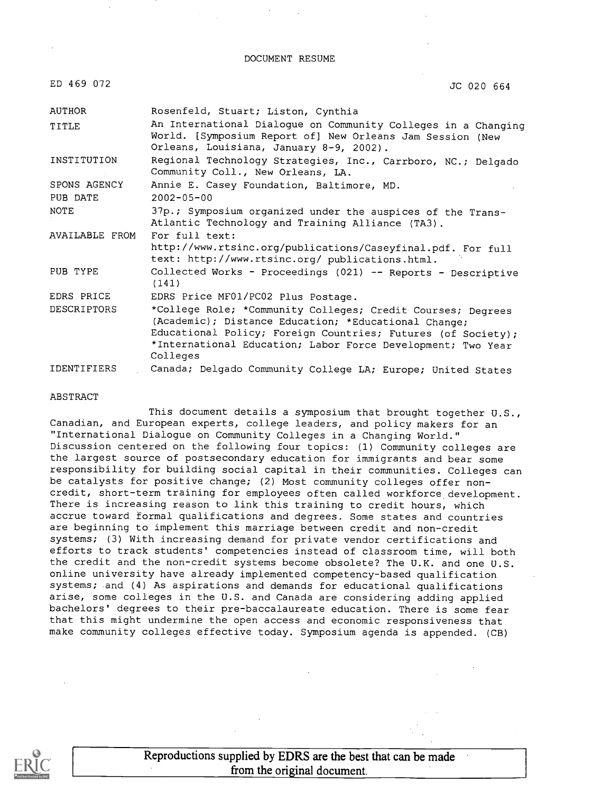DOCUMENT RESUME

ED 469 072 JC 020 664

| AUTHOR             | Rosenfeld, Stuart; Liston, Cynthia                                                                                                                                                                                                                             |
|--------------------|----------------------------------------------------------------------------------------------------------------------------------------------------------------------------------------------------------------------------------------------------------------|
| TITLE              | An International Dialogue on Community Colleges in a Changing<br>World. [Symposium Report of] New Orleans Jam Session (New<br>Orleans, Louisiana, January 8-9, 2002).                                                                                          |
| INSTITUTION        | Regional Technology Strategies, Inc., Carrboro, NC.; Delgado<br>Community Coll., New Orleans, LA.                                                                                                                                                              |
| SPONS AGENCY       | Annie E. Casey Foundation, Baltimore, MD.                                                                                                                                                                                                                      |
| PUB DATE           | $2002 - 05 - 00$                                                                                                                                                                                                                                               |
| <b>NOTE</b>        | 37p.; Symposium organized under the auspices of the Trans-<br>Atlantic Technology and Training Alliance (TA3).                                                                                                                                                 |
| AVAILABLE FROM     | For full text:                                                                                                                                                                                                                                                 |
|                    | http://www.rtsinc.org/publications/Caseyfinal.pdf. For full<br>text: http://www.rtsinc.org/ publications.html.                                                                                                                                                 |
| PUB TYPE           | Collected Works - Proceedings (021) -- Reports - Descriptive<br>(141)                                                                                                                                                                                          |
| EDRS PRICE         | EDRS Price MF01/PC02 Plus Postage.                                                                                                                                                                                                                             |
| <b>DESCRIPTORS</b> | *College Role; *Community Colleges; Credit Courses; Degrees<br>(Academic); Distance Education; *Educational Change;<br>Educational Policy; Foreign Countries; Futures (of Society);<br>*International Education; Labor Force Development; Two Year<br>Colleges |
| <b>IDENTIFIERS</b> | Canada; Delgado Community College LA; Europe; United States                                                                                                                                                                                                    |

#### ABSTRACT

This document details a symposium that brought together U.S., Canadian, and European experts, college leaders, and policy makers for an "International Dialogue on Community Colleges in a Changing World." Discussion centered on the following four topics: (1) Community colleges are the largest source of postsecondary education for immigrants and bear some responsibility for building social capital in their communities. Colleges can be catalysts for positive change; (2) Most community colleges offer noncredit, short-term training for employees often called workforce development. There is increasing reason to link this training to credit hours, which accrue toward formal qualifications and degrees. Some states and countries are beginning to implement this marriage between credit and non-credit systems; (3) With increasing demand for private vendor certifications and efforts to track students' competencies instead of classroom time, will both the credit and the non-credit systems become obsolete? The U.K. and one U.S. online university have already implemented competency-based qualification systems; and (4) As aspirations and demands for educational qualifications arise, some colleges in the U.S. and Canada are considering adding applied bachelors' degrees to their pre-baccalaureate education. There is some fear that this might undermine the open access and economic responsiveness that make community colleges effective today. Symposium agenda is appended. (CB)

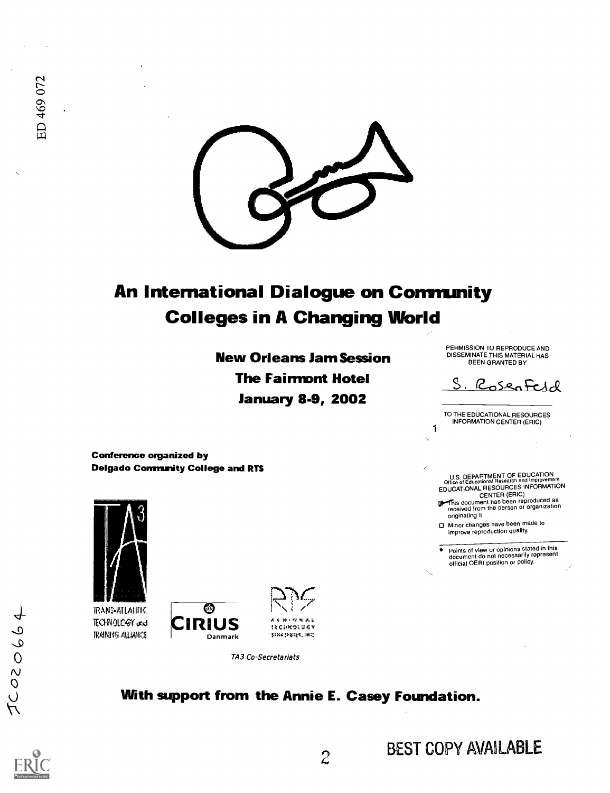

# An International Dialogue on Community Colleges in A Changing World

New Orleans Jam Session The Fairmont Hotel January 8-9, 2002

PERMISSION TO REPRODUCE AND DISSEMINATE THIS MATERIAL HAS BEEN GRANTED BY

S. RosenFeld

TO THE EDUCATIONAL RESOURCES INFORMATION CENTER (ERIC)

1

U.S. DEPARTMENT OF EDUCATION Office of Educational Research and Improvement EDUCATIONAL RESOURCES INFORMATION

CENTER (ERIC)<br>This document has been reproduced as<br>received from the person or organization originating it.

Minor changes have been made to improve reproduction quality.

Points of view or opinions stated in this document do not necessarily represent official OERI position or policy.

Conference organized by Delgado Community College and RTS



TRANS-ATLAHING TECHNOLOGY und PAWS ALVICI





TA3 Co-Secretariats

## With support from the Annie E. Casey Foundation.



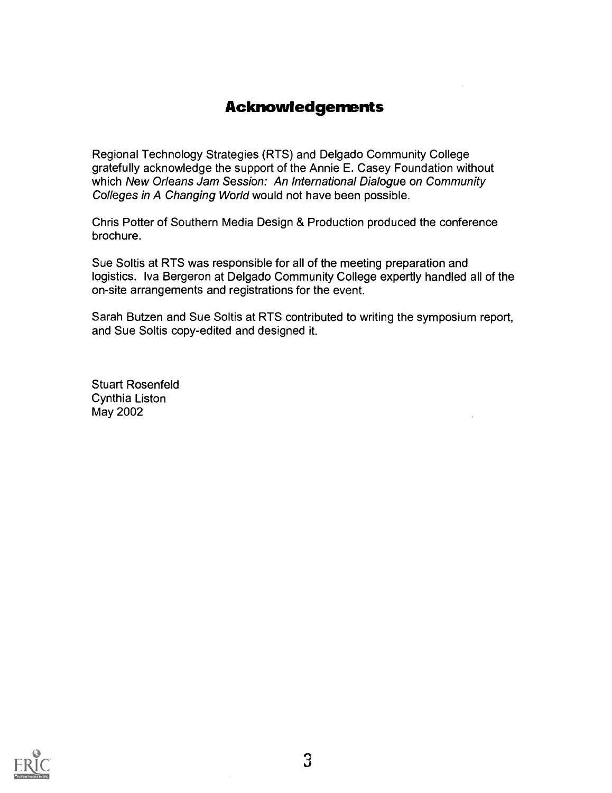# Acknowledgements

Regional Technology Strategies (RTS) and Delgado Community College gratefully acknowledge the support of the Annie E. Casey Foundation without which New Orleans Jam Session: An International Dialogue on Community Colleges in A Changing World would not have been possible.

Chris Potter of Southern Media Design & Production produced the conference brochure.

Sue Soltis at RTS was responsible for all of the meeting preparation and logistics. Iva Bergeron at Delgado Community College expertly handled all of the on-site arrangements and registrations for the event.

Sarah Butzen and Sue Soltis at RTS contributed to writing the symposium report, and Sue Soltis copy-edited and designed it.

Stuart Rosenfeld Cynthia Liston May 2002

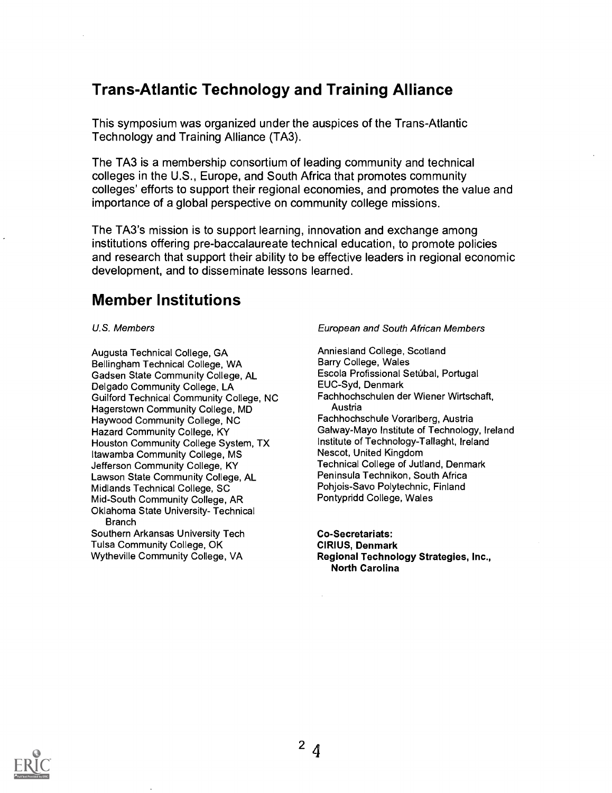# Trans-Atlantic Technology and Training Alliance

This symposium was organized under the auspices of the Trans-Atlantic Technology and Training Alliance (TA3).

The TA3 is a membership consortium of leading community and technical colleges in the U.S., Europe, and South Africa that promotes community colleges' efforts to support their regional economies, and promotes the value and importance of a global perspective on community college missions.

The TA3's mission is to support learning, innovation and exchange among institutions offering pre-baccalaureate technical education, to promote policies and research that support their ability to be effective leaders in regional economic development, and to disseminate lessons learned.

## Member Institutions

U.S. Members

Augusta Technical College, GA Bellingham Technical College, WA Gadsen State Community College, AL Delgado Community College, LA Guilford Technical Community College, NC Hagerstown Community College, MD Haywood Community College, NC Hazard Community College, KY Houston Community College System, TX Itawamba Community College, MS Jefferson Community College, KY Lawson State Community College, AL Midlands Technical College, SC Mid-South Community College, AR Oklahoma State University- Technical **Branch** Southern Arkansas University Tech Tulsa Community College, OK Wytheville Community College, VA

European and South African Members

Anniesland College, Scotland Barry College, Wales Escola Profissional Setúbal, Portugal EUC-Syd, Denmark Fachhochschulen der Wiener Wirtschaft, Austria Fachhochschule Vorarlberg, Austria Galway-Mayo Institute of Technology, Ireland Institute of Technology-Tallaght, Ireland Nescot, United Kingdom Technical College of Jutland, Denmark Peninsula Technikon, South Africa Pohjois-Savo Polytechnic, Finland Pontypridd College, Wales

Co-Secretariats: CIRIUS, Denmark Regional Technology Strategies, Inc., North Carolina

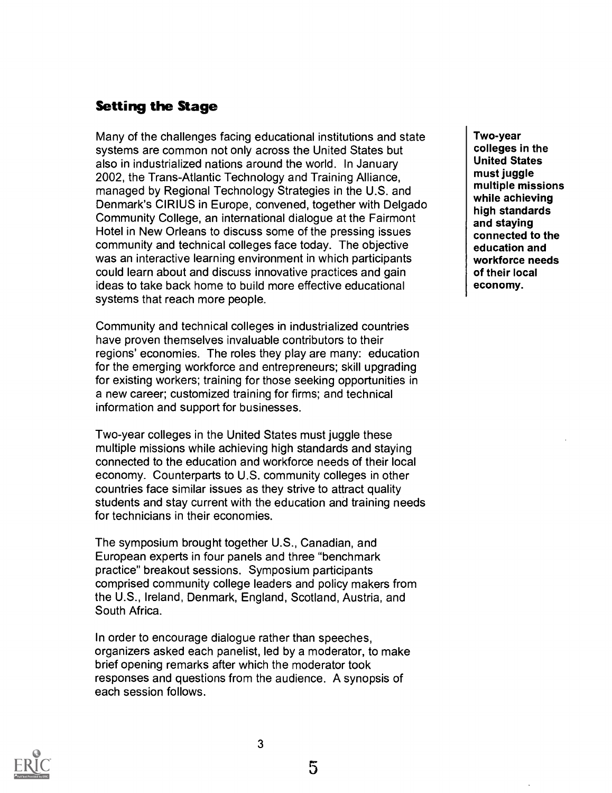## Setting the Stage

Many of the challenges facing educational institutions and state systems are common not only across the United States but also in industrialized nations around the world. In January 2002, the Trans-Atlantic Technology and Training Alliance, managed by Regional Technology Strategies in the U.S. and Denmark's CIRIUS in Europe, convened, together with Delgado Community College, an international dialogue at the Fairmont Hotel in New Orleans to discuss some of the pressing issues community and technical colleges face today. The objective was an interactive learning environment in which participants could learn about and discuss innovative practices and gain ideas to take back home to build more effective educational systems that reach more people.

Community and technical colleges in industrialized countries have proven themselves invaluable contributors to their regions' economies. The roles they play are many: education for the emerging workforce and entrepreneurs; skill upgrading for existing workers; training for those seeking opportunities in a new career; customized training for firms; and technical information and support for businesses.

Two-year colleges in the United States must juggle these multiple missions while achieving high standards and staying connected to the education and workforce needs of their local economy. Counterparts to U.S. community colleges in other countries face similar issues as they strive to attract quality students and stay current with the education and training needs for technicians in their economies.

The symposium brought together U.S., Canadian, and European experts in four panels and three "benchmark practice" breakout sessions. Symposium participants comprised community college leaders and policy makers from the U.S., Ireland, Denmark, England, Scotland, Austria, and South Africa.

In order to encourage dialogue rather than speeches, organizers asked each panelist, led by a moderator, to make brief opening remarks after which the moderator took responses and questions from the audience. A synopsis of each session follows.

Two-year colleges in the United States must juggle multiple missions while achieving high standards and staying connected to the education and workforce needs of their local economy.

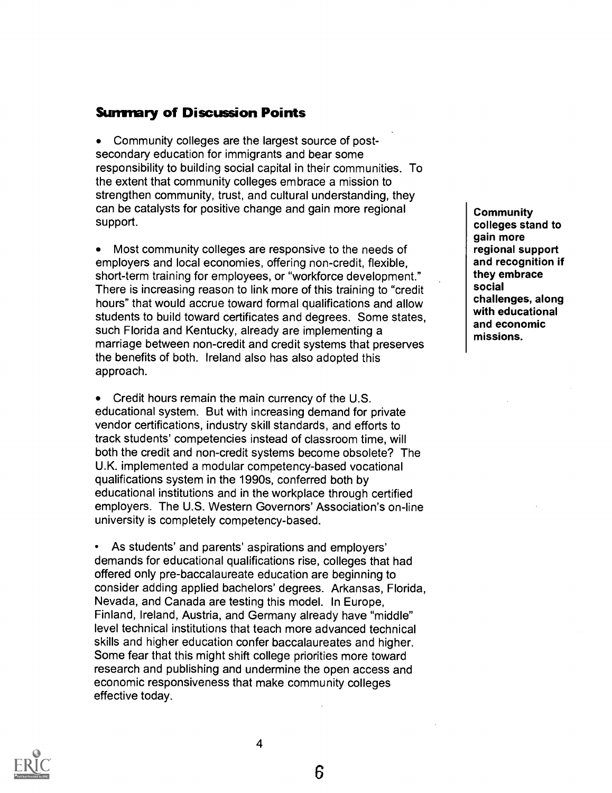## **Summary of Discussion Points**

Community colleges are the largest source of postsecondary education for immigrants and bear some responsibility to building social capital in their communities. To the extent that community colleges embrace a mission to strengthen community, trust, and cultural understanding, they can be catalysts for positive change and gain more regional support.

Most community colleges are responsive to the needs of employers and local economies, offering non-credit, flexible, short-term training for employees, or "workforce development." There is increasing reason to link more of this training to "credit hours" that would accrue toward formal qualifications and allow students to build toward certificates and degrees. Some states, such Florida and Kentucky, already are implementing a marriage between non-credit and credit systems that preserves the benefits of both. Ireland also has also adopted this approach.

• Credit hours remain the main currency of the U.S. educational system. But with increasing demand for private vendor certifications, industry skill standards, and efforts to track students' competencies instead of classroom time, will both the credit and non-credit systems become obsolete? The U.K. implemented a modular competency-based vocational qualifications system in the 1990s, conferred both by educational institutions and in the workplace through certified employers. The U.S. Western Governors' Association's on-line university is completely competency-based.

As students' and parents' aspirations and employers' demands for educational qualifications rise, colleges that had offered only pre-baccalaureate education are beginning to consider adding applied bachelors' degrees. Arkansas, Florida, Nevada, and Canada are testing this model. In Europe, Finland, Ireland, Austria, and Germany already have "middle" level technical institutions that teach more advanced technical skills and higher education confer baccalaureates and higher. Some fear that this might shift college priorities more toward research and publishing and undermine the open access and economic responsiveness that make community colleges effective today.

**Community** colleges stand to gain more regional support and recognition if they embrace social challenges, along with educational and economic missions.



4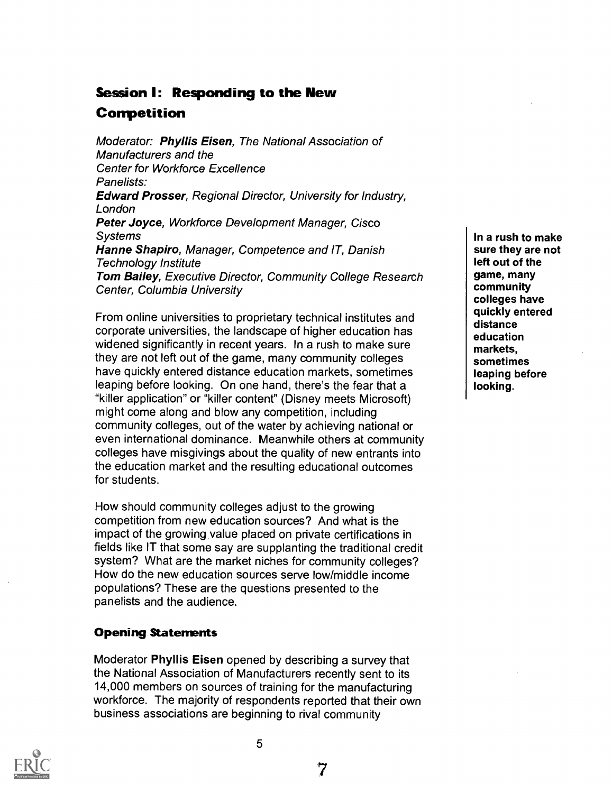# Session I: Responding to the New

## Competition

Moderator: Phyllis Eisen, The National Association of Manufacturers and the Center for Workforce Excellence Panelists: Edward Prosser, Regional Director, University for Industry, London Peter Joyce, Workforce Development Manager, Cisco **Systems** Hanne Shapiro, Manager, Competence and IT, Danish Technology Institute Tom Bailey, Executive Director, Community College Research Center, Columbia University

From online universities to proprietary technical institutes and corporate universities, the landscape of higher education has widened significantly in recent years. In a rush to make sure they are not left out of the game, many community colleges have quickly entered distance education markets, sometimes leaping before looking. On one hand, there's the fear that a "killer application" or "killer content" (Disney meets Microsoft) might come along and blow any competition, including community colleges, out of the water by achieving national or even international dominance. Meanwhile others at community colleges have misgivings about the quality of new entrants into the education market and the resulting educational outcomes for students.

How should community colleges adjust to the growing competition from new education sources? And what is the impact of the growing value placed on private certifications in fields like IT that some say are supplanting the traditional credit system? What are the market niches for community colleges? How do the new education sources serve low/middle income populations? These are the questions presented to the panelists and the audience.

## Opening Statements

Moderator Phyllis Eisen opened by describing a survey that the National Association of Manufacturers recently sent to its 14,000 members on sources of training for the manufacturing workforce. The majority of respondents reported that their own business associations are beginning to rival community

5



In a rush to make sure they are not left out of the game, many community colleges have quickly entered distance education markets, sometimes leaping before looking.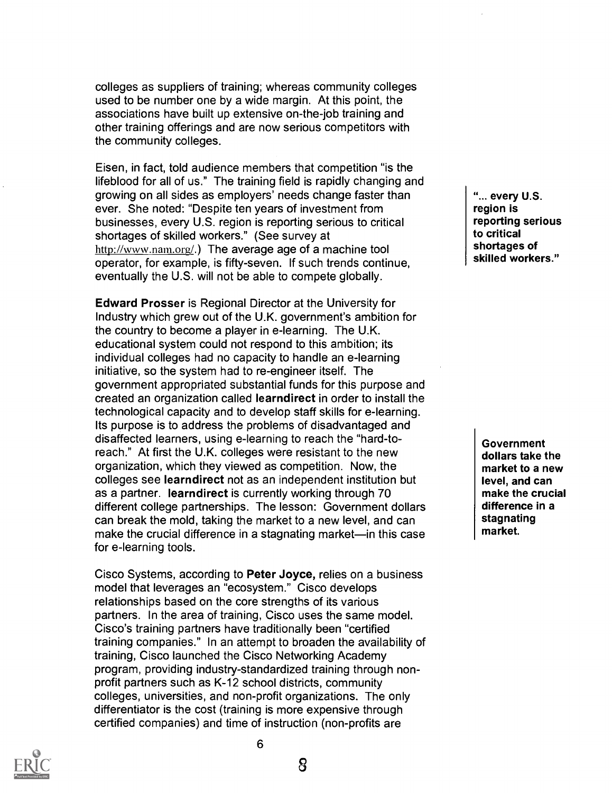colleges as suppliers of training; whereas community colleges used to be number one by a wide margin. At this point, the associations have built up extensive on-the-job training and other training offerings and are now serious competitors with the community colleges.

Eisen, in fact, told audience members that competition "is the lifeblood for all of us." The training field is rapidly changing and growing on all sides as employers' needs change faster than ever. She noted: "Despite ten years of investment from businesses, every U.S. region is reporting serious to critical shortages of skilled workers." (See survey at http://www.nam.org/.) The average age of a machine tool operator, for example, is fifty-seven. If such trends continue, eventually the U.S. will not be able to compete globally.

Edward Prosser is Regional Director at the University for Industry which grew out of the U.K. government's ambition for the country to become a player in e-learning. The U.K. educational system could not respond to this ambition; its individual colleges had no capacity to handle an e-learning initiative, so the system had to re-engineer itself. The government appropriated substantial funds for this purpose and created an organization called Iearndirect in order to install the technological capacity and to develop staff skills for e-learning. Its purpose is to address the problems of disadvantaged and disaffected learners, using e-learning to reach the "hard-toreach." At first the U.K. colleges were resistant to the new organization, which they viewed as competition. Now, the colleges see Iearndirect not as an independent institution but as a partner. Iearndirect is currently working through 70 different college partnerships. The lesson: Government dollars can break the mold, taking the market to a new level, and can make the crucial difference in a stagnating market—in this case for e-learning tools.

Cisco Systems, according to Peter Joyce, relies on a business model that leverages an "ecosystem." Cisco develops relationships based on the core strengths of its various partners. In the area of training, Cisco uses the same model. Cisco's training partners have traditionally been "certified training companies." In an attempt to broaden the availability of training, Cisco launched the Cisco Networking Academy program, providing industry-standardized training through nonprofit partners such as K-12 school districts, community colleges, universities, and non-profit organizations. The only differentiator is the cost (training is more expensive through certified companies) and time of instruction (non-profits are

"... every U.S. region is reporting serious to critical shortages of skilled workers."

**Government** dollars take the market to a new level, and can make the crucial difference in a stagnating market.



8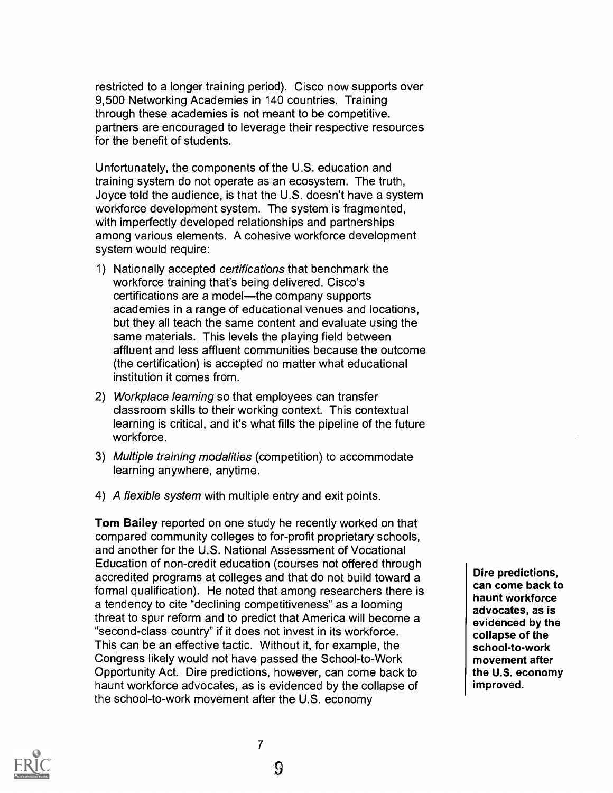restricted to a longer training period). Cisco now supports over 9,500 Networking Academies in 140 countries. Training through these academies is not meant to be competitive. partners are encouraged to leverage their respective resources for the benefit of students.

Unfortunately, the components of the U.S. education and training system do not operate as an ecosystem. The truth, Joyce told the audience, is that the U.S. doesn't have a system workforce development system. The system is fragmented, with imperfectly developed relationships and partnerships among various elements. A cohesive workforce development system would require:

- 1) Nationally accepted certifications that benchmark the workforce training that's being delivered. Cisco's certifications are a model-the company supports academies in a range of educational venues and locations, but they all teach the same content and evaluate using the same materials. This levels the playing field between affluent and less affluent communities because the outcome (the certification) is accepted no matter what educational institution it comes from.
- 2) Workplace learning so that employees can transfer classroom skills to their working context. This contextual learning is critical, and it's what fills the pipeline of the future workforce.
- 3) Multiple training modalities (competition) to accommodate learning anywhere, anytime.
- 4) A flexible system with multiple entry and exit points.

Tom Bailey reported on one study he recently worked on that compared community colleges to for-profit proprietary schools, and another for the U.S. National Assessment of Vocational Education of non-credit education (courses not offered through accredited programs at colleges and that do not build toward a formal qualification). He noted that among researchers there is a tendency to cite "declining competitiveness" as a looming threat to spur reform and to predict that America will become a "second-class country" if it does not invest in its workforce. This can be an effective tactic. Without it, for example, the Congress likely would not have passed the School-to-Work Opportunity Act. Dire predictions, however, can come back to haunt workforce advocates, as is evidenced by the collapse of the school-to-work movement after the U.S. economy

Dire predictions, can come back to haunt workforce advocates, as is evidenced by the collapse of the school-to-work movement after the U.S. economy improved.

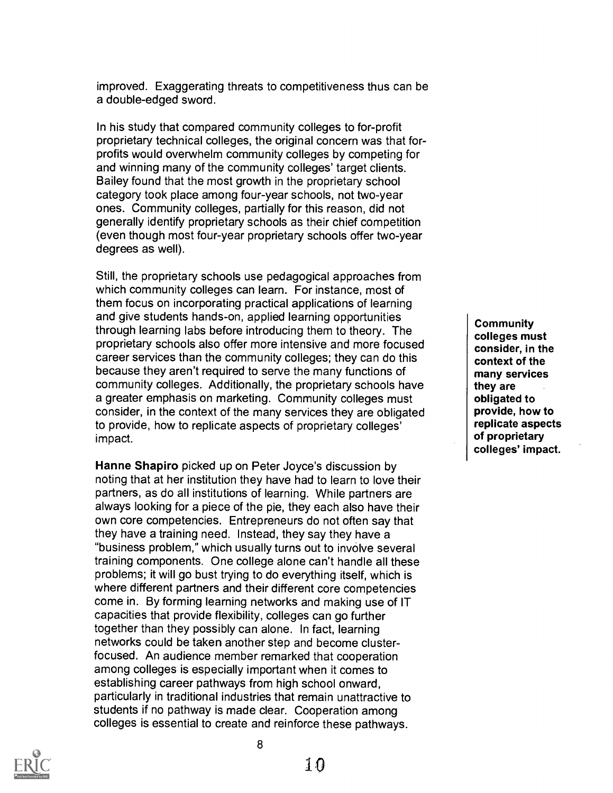improved. Exaggerating threats to competitiveness thus can be a double-edged sword.

In his study that compared community colleges to for-profit proprietary technical colleges, the original concern was that forprofits would overwhelm community colleges by competing for and winning many of the community colleges' target clients. Bailey found that the most growth in the proprietary school category took place among four-year schools, not two-year ones. Community colleges, partially for this reason, did not generally identify proprietary schools as their chief competition (even though most four-year proprietary schools offer two-year degrees as well).

Still, the proprietary schools use pedagogical approaches from which community colleges can learn. For instance, most of them focus on incorporating practical applications of learning and give students hands-on, applied learning opportunities through learning labs before introducing them to theory. The proprietary schools also offer more intensive and more focused career services than the community colleges; they can do this because they aren't required to serve the many functions of community colleges. Additionally, the proprietary schools have a greater emphasis on marketing. Community colleges must consider, in the context of the many services they are obligated to provide, how to replicate aspects of proprietary colleges' impact.

Hanne Shapiro picked up on Peter Joyce's discussion by noting that at her institution they have had to learn to love their partners, as do all institutions of learning. While partners are always looking for a piece of the pie, they each also have their own core competencies. Entrepreneurs do not often say that they have a training need. Instead, they say they have a "business problem," which usually turns out to involve several training components. One college alone can't handle all these problems; it will go bust trying to do everything itself, which is where different partners and their different core competencies come in. By forming learning networks and making use of IT capacities that provide flexibility, colleges can go further together than they possibly can alone. In fact, learning networks could be taken another step and become clusterfocused. An audience member remarked that cooperation among colleges is especially important when it comes to establishing career pathways from high school onward, particularly in traditional industries that remain unattractive to students if no pathway is made clear. Cooperation among colleges is essential to create and reinforce these pathways.

**Community** colleges must consider, in the context of the many services they are obligated to provide, how to replicate aspects of proprietary colleges' impact.

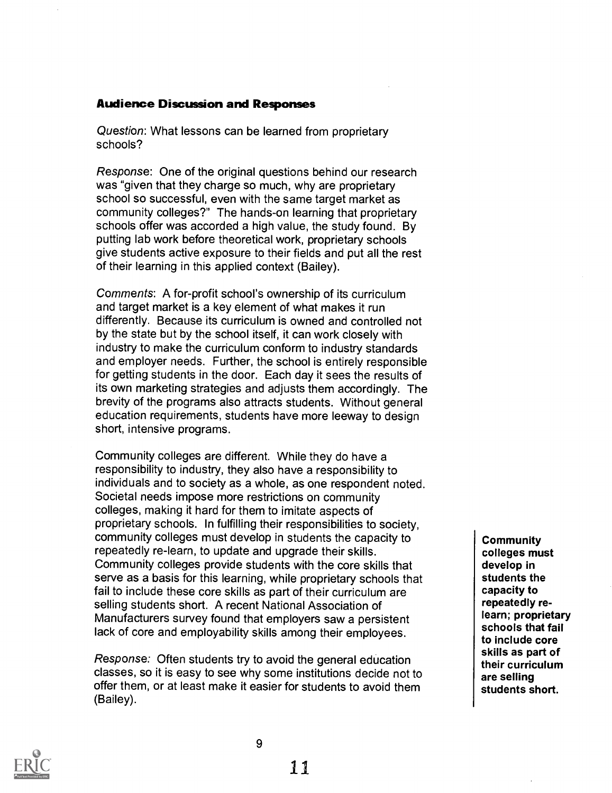#### Audience Discussion and Responses

Question: What lessons can be learned from proprietary schools?

Response: One of the original questions behind our research was "given that they charge so much, why are proprietary school so successful, even with the same target market as community colleges?" The hands-on learning that proprietary schools offer was accorded a high value, the study found. By putting lab work before theoretical work, proprietary schools give students active exposure to their fields and put all the rest of their learning in this applied context (Bailey).

Comments: A for-profit school's ownership of its curriculum and target market is a key element of what makes it run differently. Because its curriculum is owned and controlled not by the state but by the school itself, it can work closely with industry to make the curriculum conform to industry standards and employer needs. Further, the school is entirely responsible for getting students in the door. Each day it sees the results of its own marketing strategies and adjusts them accordingly. The brevity of the programs also attracts students. Without general education requirements, students have more leeway to design short, intensive programs.

Community colleges are different. While they do have a responsibility to industry, they also have a responsibility to individuals and to society as a whole, as one respondent noted. Societal needs impose more restrictions on community colleges, making it hard for them to imitate aspects of proprietary schools. In fulfilling their responsibilities to society, community colleges must develop in students the capacity to repeatedly re-learn, to update and upgrade their skills. Community colleges provide students with the core skills that serve as a basis for this learning, while proprietary schools that fail to include these core skills as part of their curriculum are selling students short. A recent National Association of Manufacturers survey found that employers saw a persistent lack of core and employability skills among their employees.

Response: Often students try to avoid the general education classes, so it is easy to see why some institutions decide not to offer them, or at least make it easier for students to avoid them (Bailey).

**Community** colleges must develop in students the capacity to repeatedly relearn; proprietary schools that fail to include core skills as part of their curriculum are selling students short.

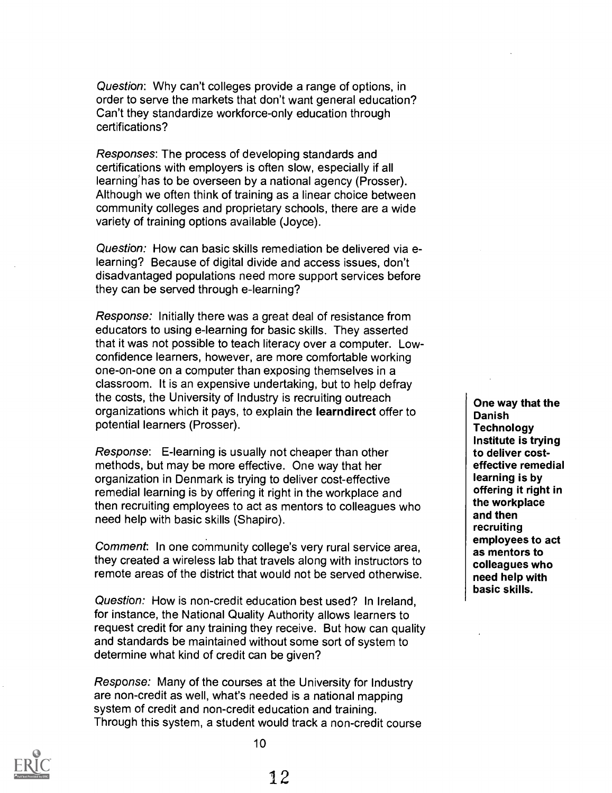Question: Why can't colleges provide a range of options, in order to serve the markets that don't want general education? Can't they standardize workforce-only education through certifications?

Responses: The process of developing standards and certifications with employers is often slow, especially if all learning`has to be overseen by a national agency (Prosser). Although we often think of training as a linear choice between community colleges and proprietary schools, there are a wide variety of training options available (Joyce).

Question: How can basic skills remediation be delivered via elearning? Because of digital divide and access issues, don't disadvantaged populations need more support services before they can be served through e-learning?

Response: Initially there was a great deal of resistance from educators to using e-learning for basic skills. They asserted that it was not possible to teach literacy over a computer. Lowconfidence learners, however, are more comfortable working one-on-one on a computer than exposing themselves in a classroom. It is an expensive undertaking, but to help defray the costs, the University of Industry is recruiting outreach organizations which it pays, to explain the learndirect offer to potential learners (Prosser).

Response: E-learning is usually not cheaper than other methods, but may be more effective. One way that her organization in Denmark is trying to deliver cost-effective remedial learning is by offering it right in the workplace and then recruiting employees to act as mentors to colleagues who need help with basic skills (Shapiro).

Comment: In one community college's very rural service area, they created a wireless lab that travels along with instructors to remote areas of the district that would not be served otherwise.

Question: How is non-credit education best used? In Ireland, for instance, the National Quality Authority allows learners to request credit for any training they receive. But how can quality and standards be maintained without some sort of system to determine what kind of credit can be given?

Response: Many of the courses at the University for Industry are non-credit as well, what's needed is a national mapping system of credit and non-credit education and training. Through this system, a student would track a non-credit course

One way that the Danish **Technology** Institute is trying to deliver costeffective remedial learning is by offering it right in the workplace and then recruiting employees to act as mentors to colleagues who need help with basic skills.

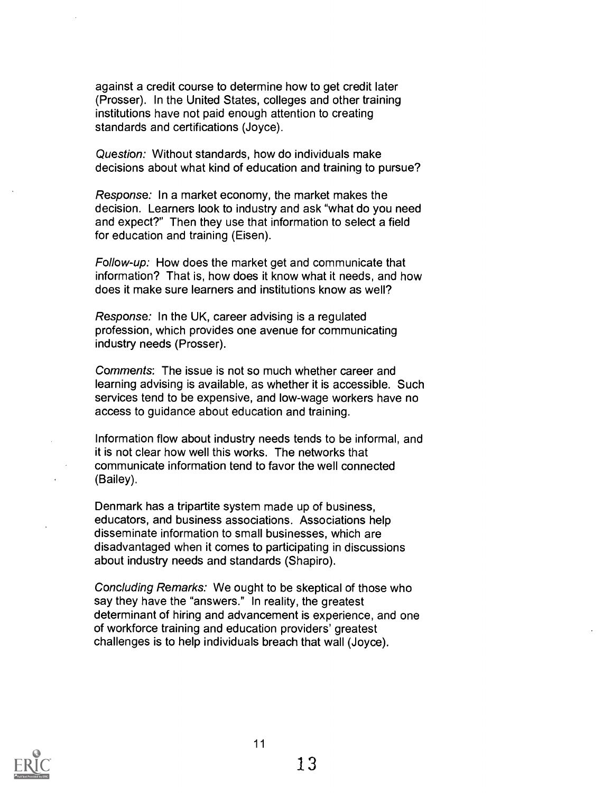against a credit course to determine how to get credit later (Prosser). In the United States, colleges and other training institutions have not paid enough attention to creating standards and certifications (Joyce).

Question: Without standards, how do individuals make decisions about what kind of education and training to pursue?

Response: In a market economy, the market makes the decision. Learners look to industry and ask "what do you need and expect?" Then they use that information to select a field for education and training (Eisen).

Follow-up: How does the market get and communicate that information? That is, how does it know what it needs, and how does it make sure learners and institutions know as well?

Response: In the UK, career advising is a regulated profession, which provides one avenue for communicating industry needs (Prosser).

Comments: The issue is not so much whether career and learning advising is available, as whether it is accessible. Such services tend to be expensive, and low-wage workers have no access to guidance about education and training.

Information flow about industry needs tends to be informal, and it is not clear how well this works. The networks that communicate information tend to favor the well connected (Bailey).

Denmark has a tripartite system made up of business, educators, and business associations. Associations help disseminate information to small businesses, which are disadvantaged when it comes to participating in discussions about industry needs and standards (Shapiro).

Concluding Remarks: We ought to be skeptical of those who say they have the "answers." In reality, the greatest determinant of hiring and advancement is experience, and one of workforce training and education providers' greatest challenges is to help individuals breach that wall (Joyce).

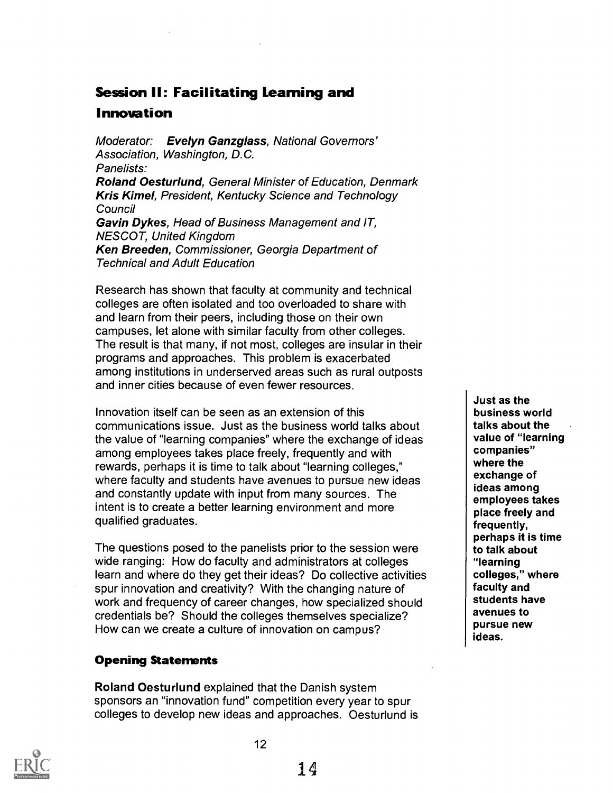## Session II: Facilitating Learning and

## Innovation

Moderator: Evelyn Ganzglass, National Governors' Association, Washington, D.C. Panelists: Roland Oesturlund, General Minister of Education, Denmark Kris Kimel, President, Kentucky Science and Technology **Council** Gavin Dykes, Head of Business Management and IT, NESCOT, United Kingdom Ken Breeden, Commissioner, Georgia Department of Technical and Adult Education

Research has shown that faculty at community and technical colleges are often isolated and too overloaded to share with and learn from their peers, including those on their own campuses, let alone with similar faculty from other colleges. The result is that many, if not most, colleges are insular in their programs and approaches. This problem is exacerbated among institutions in underserved areas such as rural outposts and inner cities because of even fewer resources.

Innovation itself can be seen as an extension of this communications issue. Just as the business world talks about the value of "learning companies" where the exchange of ideas among employees takes place freely, frequently and with rewards, perhaps it is time to talk about "learning colleges," where faculty and students have avenues to pursue new ideas and constantly update with input from many sources. The intent is to create a better learning environment and more qualified graduates.

The questions posed to the panelists prior to the session were wide ranging: How do faculty and administrators at colleges learn and where do they get their ideas? Do collective activities spur innovation and creativity? With the changing nature of work and frequency of career changes, how specialized should credentials be? Should the colleges themselves specialize? How can we create a culture of innovation on campus?

## Opening Statements

Roland Oesturlund explained that the Danish system sponsors an "innovation fund" competition every year to spur colleges to develop new ideas and approaches. Oesturlund is

Just as the business world talks about the value of "learning companies" where the exchange of ideas among employees takes place freely and frequently, perhaps it is time to talk about "learning colleges," where faculty and students have avenues to pursue new ideas.

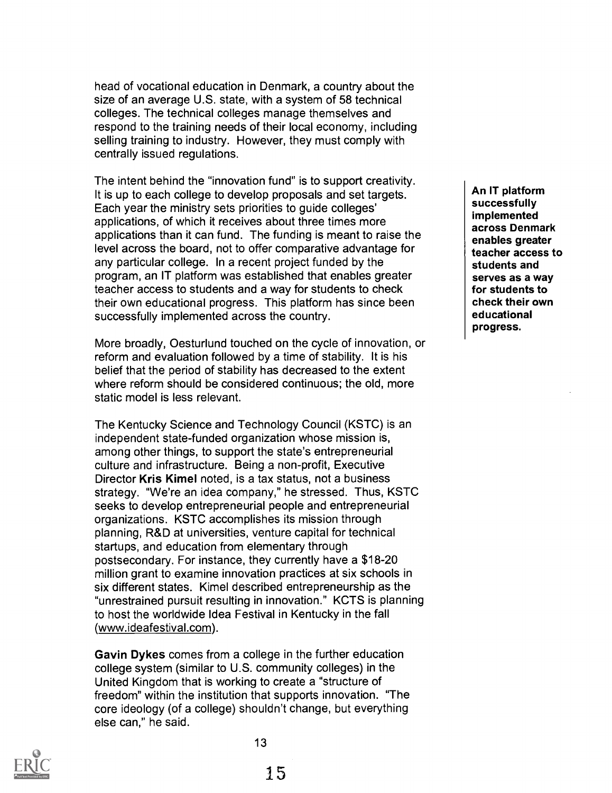head of vocational education in Denmark, a country about the size of an average U.S. state, with a system of 58 technical colleges. The technical colleges manage themselves and respond to the training needs of their local economy, including selling training to industry. However, they must comply with centrally issued regulations.

The intent behind the "innovation fund" is to support creativity. It is up to each college to develop proposals and set targets. Each year the ministry sets priorities to guide colleges' applications, of which it receives about three times more applications than it can fund. The funding is meant to raise the level across the board, not to offer comparative advantage for any particular college. In a recent project funded by the program, an IT platform was established that enables greater teacher access to students and a way for students to check their own educational progress. This platform has since been successfully implemented across the country.

More broadly, Oesturlund touched on the cycle of innovation, or reform and evaluation followed by a time of stability. It is his belief that the period of stability has decreased to the extent where reform should be considered continuous; the old, more static model is less relevant.

The Kentucky Science and Technology Council (KSTC) is an independent state-funded organization whose mission is, among other things, to support the state's entrepreneurial culture and infrastructure. Being a non-profit, Executive Director Kris Kimel noted, is a tax status, not a business strategy. "We're an idea company," he stressed. Thus, KSTC seeks to develop entrepreneurial people and entrepreneurial organizations. KSTC accomplishes its mission through planning, R&D at universities, venture capital for technical startups, and education from elementary through postsecondary. For instance, they currently have a \$18-20 million grant to examine innovation practices at six schools in six different states. Kimel described entrepreneurship as the "unrestrained pursuit resulting in innovation." KCTS is planning to host the worldwide Idea Festival in Kentucky in the fall (www.ideafestival.com).

Gavin Dykes comes from a college in the further education college system (similar to U.S. community colleges) in the United Kingdom that is working to create a "structure of freedom" within the institution that supports innovation. "The core ideology (of a college) shouldn't change, but everything else can," he said.

13

An IT platform successfully implemented across Denmark enables greater teacher access to students and serves as a way for students to check their own educational progress.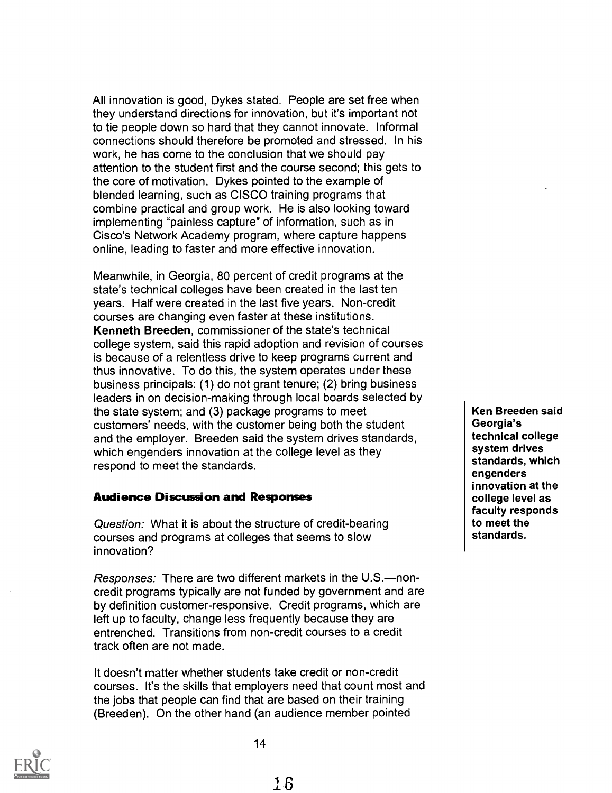All innovation is good, Dykes stated. People are set free when they understand directions for innovation, but it's important not to tie people down so hard that they cannot innovate. Informal connections should therefore be promoted and stressed. In his work, he has come to the conclusion that we should pay attention to the student first and the course second; this gets to the core of motivation. Dykes pointed to the example of blended learning, such as CISCO training programs that combine practical and group work. He is also looking toward implementing "painless capture" of information, such as in Cisco's Network Academy program, where capture happens online, leading to faster and more effective innovation.

Meanwhile, in Georgia, 80 percent of credit programs at the state's technical colleges have been created in the last ten years. Half were created in the last five years. Non-credit courses are changing even faster at these institutions. Kenneth Breeden, commissioner of the state's technical college system, said this rapid adoption and revision of courses is because of a relentless drive to keep programs current and thus innovative. To do this, the system operates under these business principals: (1) do not grant tenure; (2) bring business leaders in on decision-making through local boards selected by the state system; and (3) package programs to meet customers' needs, with the customer being both the student and the employer. Breeden said the system drives standards, which engenders innovation at the college level as they respond to meet the standards.

#### Audience Discussion and Responses

Question: What it is about the structure of credit-bearing courses and programs at colleges that seems to slow innovation?

Responses: There are two different markets in the U.S.-noncredit programs typically are not funded by government and are by definition customer-responsive. Credit programs, which are left up to faculty, change less frequently because they are entrenched. Transitions from non-credit courses to a credit track often are not made.

It doesn't matter whether students take credit or non-credit courses. It's the skills that employers need that count most and the jobs that people can find that are based on their training (Breeden). On the other hand (an audience member pointed

Ken Breeden said Georgia's technical college system drives standards, which engenders innovation at the college level as faculty responds to meet the standards.

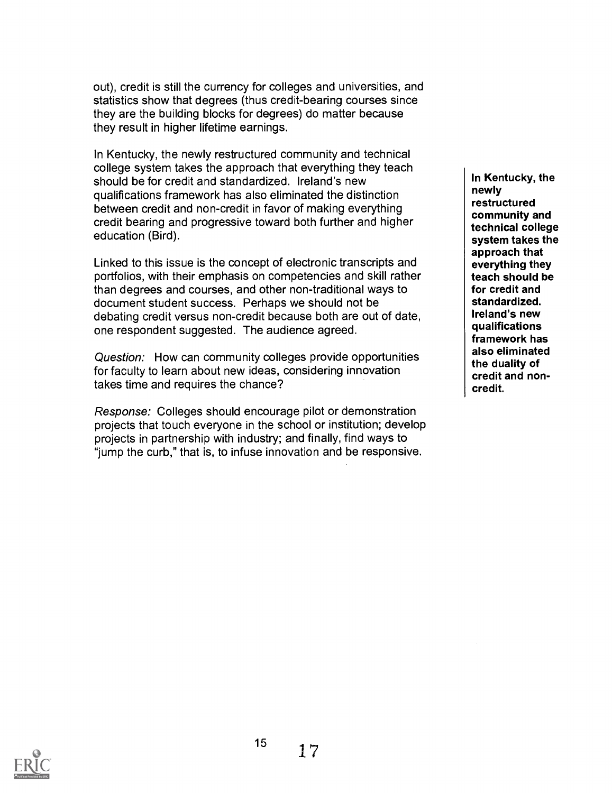out), credit is still the currency for colleges and universities, and statistics show that degrees (thus credit-bearing courses since they are the building blocks for degrees) do matter because they result in higher lifetime earnings.

In Kentucky, the newly restructured community and technical college system takes the approach that everything they teach should be for credit and standardized. Ireland's new qualifications framework has also eliminated the distinction between credit and non-credit in favor of making everything credit bearing and progressive toward both further and higher education (Bird).

Linked to this issue is the concept of electronic transcripts and portfolios, with their emphasis on competencies and skill rather than degrees and courses, and other non-traditional ways to document student success. Perhaps we should not be debating credit versus non-credit because both are out of date, one respondent suggested. The audience agreed.

Question: How can community colleges provide opportunities for faculty to learn about new ideas, considering innovation takes time and requires the chance?

Response: Colleges should encourage pilot or demonstration projects that touch everyone in the school or institution; develop projects in partnership with industry; and finally, find ways to "jump the curb," that is, to infuse innovation and be responsive.

In Kentucky, the newly restructured community and technical college system takes the approach that everything they teach should be for credit and standardized. Ireland's new qualifications framework has also eliminated the duality of credit and noncredit.



15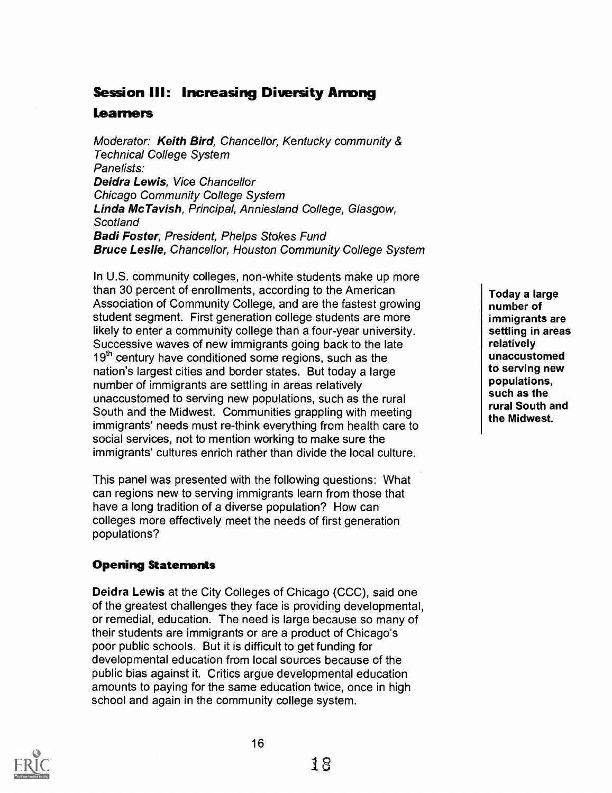## Session III: Increasing Diversity Among

## Learners

Moderator: Keith Bird, Chancellor, Kentucky community & Technical College System Panelists: Deidra Lewis, Vice Chancellor Chicago Community College System Linda McTavish, Principal, Anniesland College, Glasgow, **Scotland** Badi Foster, President, Phelps Stokes Fund Bruce Leslie, Chancellor, Houston Community College System

In U.S. community colleges, non-white students make up more than 30 percent of enrollments, according to the American Association of Community College, and are the fastest growing student segment. First generation college students are more likely to enter a community college than a four-year university. Successive waves of new immigrants going back to the late  $19<sup>th</sup>$  century have conditioned some regions, such as the nation's largest cities and border states. But today a large number of immigrants are settling in areas relatively unaccustomed to serving new populations, such as the rural South and the Midwest. Communities grappling with meeting immigrants' needs must re-think everything from health care to social services, not to mention working to make sure the immigrants' cultures enrich rather than divide the local culture.

This panel was presented with the following questions: What can regions new to serving immigrants learn from those that have a long tradition of a diverse population? How can colleges more effectively meet the needs of first generation populations?

## Opening Statements

Deidra Lewis at the City Colleges of Chicago (CCC), said one of the greatest challenges they face is providing developmental, or remedial, education. The need is large because so many of their students are immigrants or are a product of Chicago's poor public schools. But it is difficult to get funding for developmental education from local sources because of the public bias against it. Critics argue developmental education amounts to paying for the same education twice, once in high school and again in the community college system.

Today a large number of immigrants are settling in areas relatively unaccustomed to serving new populations, such as the rural South and the Midwest.

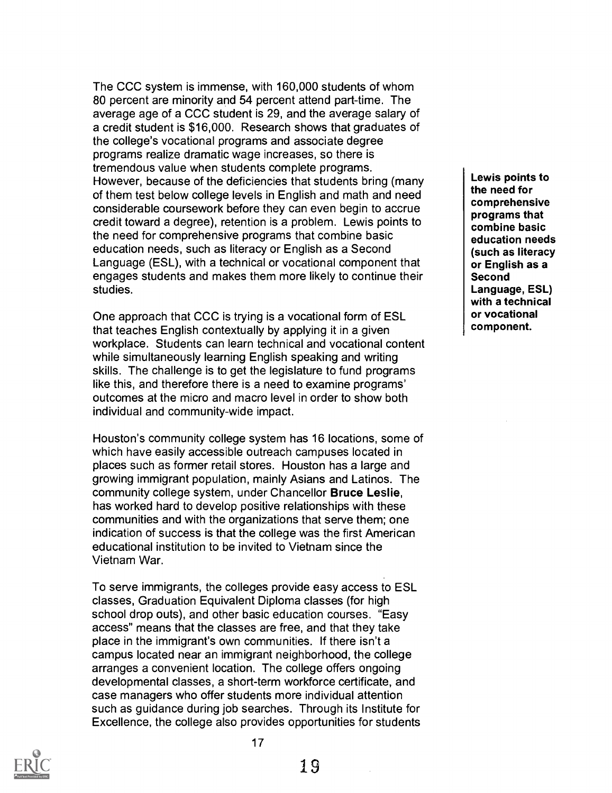The CCC system is immense, with 160,000 students of whom 80 percent are minority and 54 percent attend part-time. The average age of a CCC student is 29, and the average salary of a credit student is \$16,000. Research shows that graduates of the college's vocational programs and associate degree programs realize dramatic wage increases, so there is tremendous value when students complete programs. However, because of the deficiencies that students bring (many of them test below college levels in English and math and need considerable coursework before they can even begin to accrue credit toward a degree), retention is a problem. Lewis points to the need for comprehensive programs that combine basic education needs, such as literacy or English as a Second Language (ESL), with a technical or vocational component that engages students and makes them more likely to continue their studies.

One approach that CCC is trying is a vocational form of ESL that teaches English contextually by applying it in a given workplace. Students can learn technical and vocational content while simultaneously learning English speaking and writing skills. The challenge is to get the legislature to fund programs like this, and therefore there is a need to examine programs' outcomes at the micro and macro level in order to show both individual and community-wide impact.

Houston's community college system has 16 locations, some of which have easily accessible outreach campuses located in places such as former retail stores. Houston has a large and growing immigrant population, mainly Asians and Latinos. The community college system, under Chancellor Bruce Leslie, has worked hard to develop positive relationships with these communities and with the organizations that serve them; one indication of success is that the college was the first American educational institution to be invited to Vietnam since the Vietnam War.

To serve immigrants, the colleges provide easy access to ESL classes, Graduation Equivalent Diploma classes (for high school drop outs), and other basic education courses. "Easy access" means that the classes are free, and that they take place in the immigrant's own communities. If there isn't a campus located near an immigrant neighborhood, the college arranges a convenient location. The college offers ongoing developmental classes, a short-term workforce certificate, and case managers who offer students more individual attention such as guidance during job searches. Through its Institute for Excellence, the college also provides opportunities for students

Lewis points to the need for comprehensive programs that combine basic education needs (such as literacy or English as a Second Language, ESL) with a technical or vocational component.

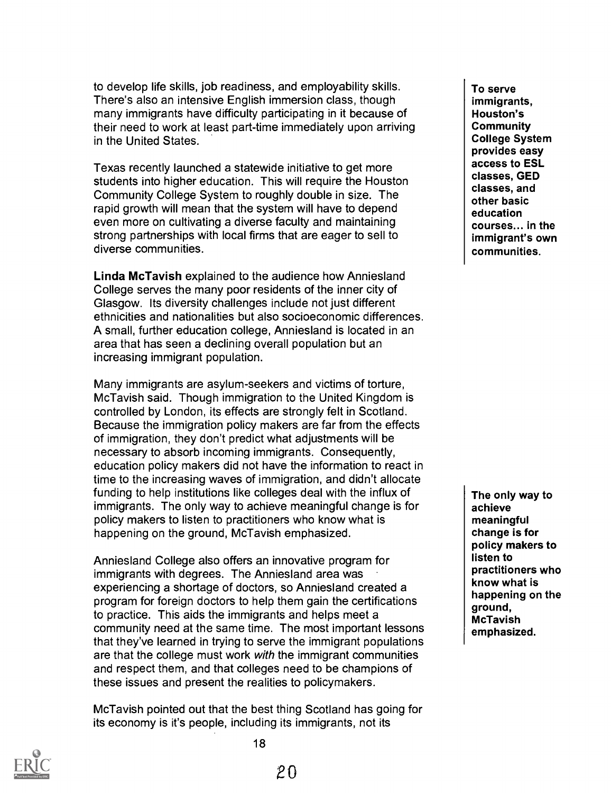to develop life skills, job readiness, and employability skills. There's also an intensive English immersion class, though many immigrants have difficulty participating in it because of their need to work at least part-time immediately upon arriving in the United States.

Texas recently launched a statewide initiative to get more students into higher education. This will require the Houston Community College System to roughly double in size. The rapid growth will mean that the system will have to depend even more on cultivating a diverse faculty and maintaining strong partnerships with local firms that are eager to sell to diverse communities.

Linda McTavish explained to the audience how Anniesland College serves the many poor residents of the inner city of Glasgow. Its diversity challenges include not just different ethnicities and nationalities but also socioeconomic differences. A small, further education college, Anniesland is located in an area that has seen a declining overall population but an increasing immigrant population.

Many immigrants are asylum-seekers and victims of torture, McTavish said. Though immigration to the United Kingdom is controlled by London, its effects are strongly felt in Scotland. Because the immigration policy makers are far from the effects of immigration, they don't predict what adjustments will be necessary to absorb incoming immigrants. Consequently, education policy makers did not have the information to react in time to the increasing waves of immigration, and didn't allocate funding to help institutions like colleges deal with the influx of immigrants. The only way to achieve meaningful change is for policy makers to listen to practitioners who know what is happening on the ground, McTavish emphasized.

Anniesland College also offers an innovative program for immigrants with degrees. The Anniesland area was experiencing a shortage of doctors, so Anniesland created a program for foreign doctors to help them gain the certifications to practice. This aids the immigrants and helps meet a community need at the same time. The most important lessons that they've learned in trying to serve the immigrant populations are that the college must work with the immigrant communities and respect them, and that colleges need to be champions of these issues and present the realities to policymakers.

McTavish pointed out that the best thing Scotland has going for its economy is it's people, including its immigrants, not its

To serve immigrants, Houston's **Community** College System provides easy access to ESL classes, GED classes, and other basic education courses... in the immigrant's own communities.

The only way to achieve meaningful change is for policy makers to listen to practitioners who know what is happening on the ground, McTavish emphasized.

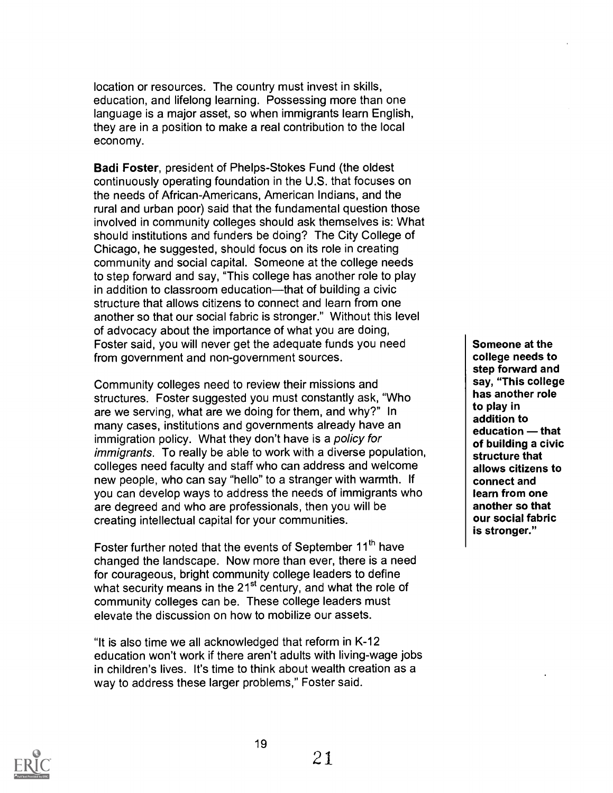location or resources. The country must invest in skills, education, and lifelong learning. Possessing more than one language is a major asset, so when immigrants learn English, they are in a position to make a real contribution to the local economy.

Badi Foster, president of Phelps-Stokes Fund (the oldest continuously operating foundation in the U.S. that focuses on the needs of African-Americans, American Indians, and the rural and urban poor) said that the fundamental question those involved in community colleges should ask themselves is: What should institutions and funders be doing? The City College of Chicago, he suggested, should focus on its role in creating community and social capital. Someone at the college needs to step forward and say, "This college has another role to play in addition to classroom education—that of building a civic structure that allows citizens to connect and learn from one another so that our social fabric is stronger." Without this level of advocacy about the importance of what you are doing, Foster said, you will never get the adequate funds you need from government and non-government sources.

Community colleges need to review their missions and structures. Foster suggested you must constantly ask, "Who are we serving, what are we doing for them, and why?" In many cases, institutions and governments already have an immigration policy. What they don't have is a policy for immigrants. To really be able to work with a diverse population, colleges need faculty and staff who can address and welcome new people, who can say "hello" to a stranger with warmth. If you can develop ways to address the needs of immigrants who are degreed and who are professionals, then you will be creating intellectual capital for your communities.

Foster further noted that the events of September 11<sup>th</sup> have changed the landscape. Now more than ever, there is a need for courageous, bright community college leaders to define what security means in the 21<sup>st</sup> century, and what the role of community colleges can be. These college leaders must elevate the discussion on how to mobilize our assets.

"It is also time we all acknowledged that reform in K-12 education won't work if there aren't adults with living-wage jobs in children's lives. It's time to think about wealth creation as a way to address these larger problems," Foster said.

19

Someone at the college needs to step forward and say, "This college has another role to play in addition to  $education - that$ of building a civic structure that allows citizens to connect and learn from one another so that our social fabric is stronger."

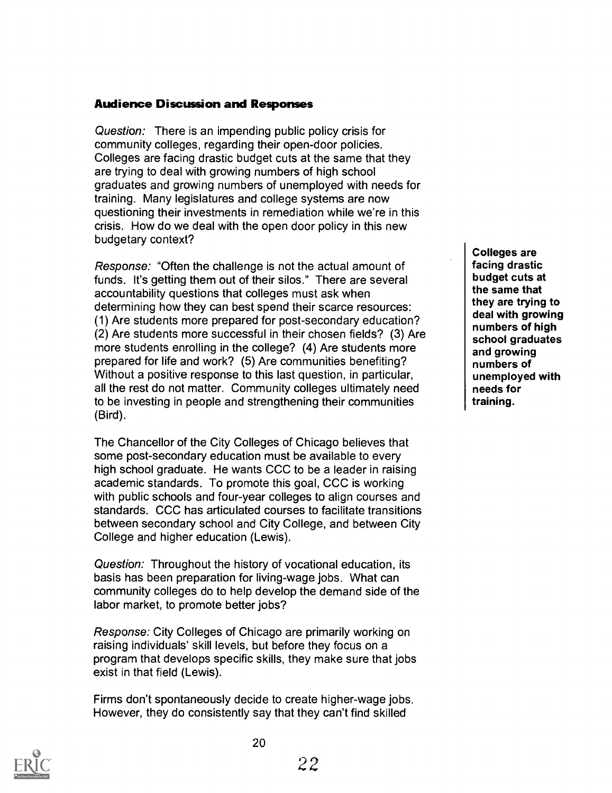#### Audience Discussion and Responses

Question: There is an impending public policy crisis for community colleges, regarding their open-door policies. Colleges are facing drastic budget cuts at the same that they are trying to deal with growing numbers of high school graduates and growing numbers of unemployed with needs for training. Many legislatures and college systems are now questioning their investments in remediation while we're in this crisis. How do we deal with the open door policy in this new budgetary context?

Response: "Often the challenge is not the actual amount of funds. It's getting them out of their silos." There are several accountability questions that colleges must ask when determining how they can best spend their scarce resources: (1) Are students more prepared for post-secondary education? (2) Are students more successful in their chosen fields? (3) Are more students enrolling in the college? (4) Are students more prepared for life and work? (5) Are communities benefiting? Without a positive response to this last question, in particular, all the rest do not matter. Community colleges ultimately need to be investing in people and strengthening their communities (Bird).

The Chancellor of the City Colleges of Chicago believes that some post-secondary education must be available to every high school graduate. He wants CCC to be a leader in raising academic standards. To promote this goal, CCC is working with public schools and four-year colleges to align courses and standards. CCC has articulated courses to facilitate transitions between secondary school and City College, and between City College and higher education (Lewis).

Question: Throughout the history of vocational education, its basis has been preparation for living-wage jobs. What can community colleges do to help develop the demand side of the labor market, to promote better jobs?

Response: City Colleges of Chicago are primarily working on raising individuals' skill levels, but before they focus on a program that develops specific skills, they make sure that jobs exist in that field (Lewis).

Firms don't spontaneously decide to create higher-wage jobs. However, they do consistently say that they can't find skilled

Colleges are facing drastic budget cuts at the same that they are trying to deal with growing numbers of high school graduates and growing numbers of unemployed with needs for training.

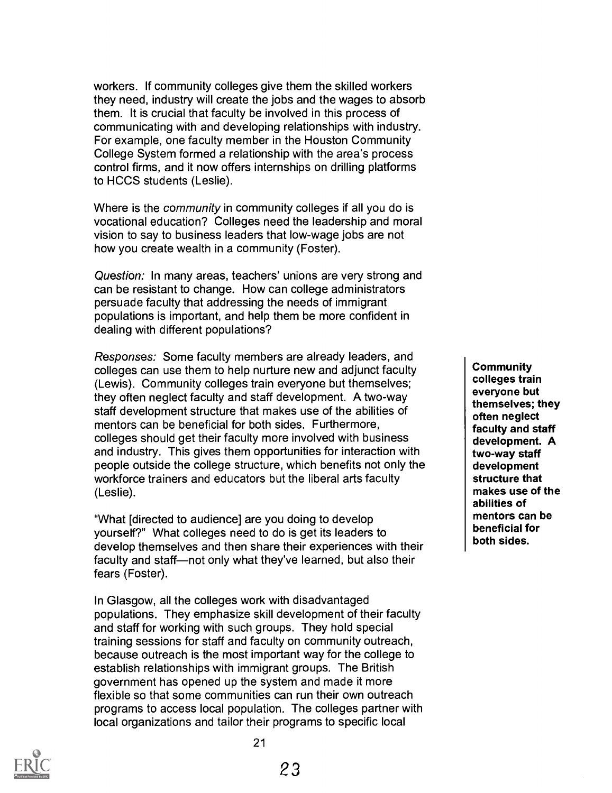workers. If community colleges give them the skilled workers they need, industry will create the jobs and the wages to absorb them. It is crucial that faculty be involved in this process of communicating with and developing relationships with industry. For example, one faculty member in the Houston Community College System formed a relationship with the area's process control firms, and it now offers internships on drilling platforms to HCCS students (Leslie).

Where is the *community* in community colleges if all you do is vocational education? Colleges need the leadership and moral vision to say to business leaders that low-wage jobs are not how you create wealth in a community (Foster).

Question: In many areas, teachers' unions are very strong and can be resistant to change. How can college administrators persuade faculty that addressing the needs of immigrant populations is important, and help them be more confident in dealing with different populations?

Responses: Some faculty members are already leaders, and colleges can use them to help nurture new and adjunct faculty (Lewis). Community colleges train everyone but themselves; they often neglect faculty and staff development. A two-way staff development structure that makes use of the abilities of mentors can be beneficial for both sides. Furthermore, colleges should get their faculty more involved with business and industry. This gives them opportunities for interaction with people outside the college structure, which benefits not only the workforce trainers and educators but the liberal arts faculty (Leslie).

"What [directed to audience] are you doing to develop yourself?" What colleges need to do is get its leaders to develop themselves and then share their experiences with their faculty and staff-not only what they've learned, but also their fears (Foster).

In Glasgow, all the colleges work with disadvantaged populations. They emphasize skill development of their faculty and staff for working with such groups. They hold special training sessions for staff and faculty on community outreach, because outreach is the most important way for the college to establish relationships with immigrant groups. The British government has opened up the system and made it more flexible so that some communities can run their own outreach programs to access local population. The colleges partner with local organizations and tailor their programs to specific local

**Community** colleges train everyone but themselves; they often neglect faculty and staff development. A two-way staff development structure that makes use of the abilities of mentors can be beneficial for both sides.

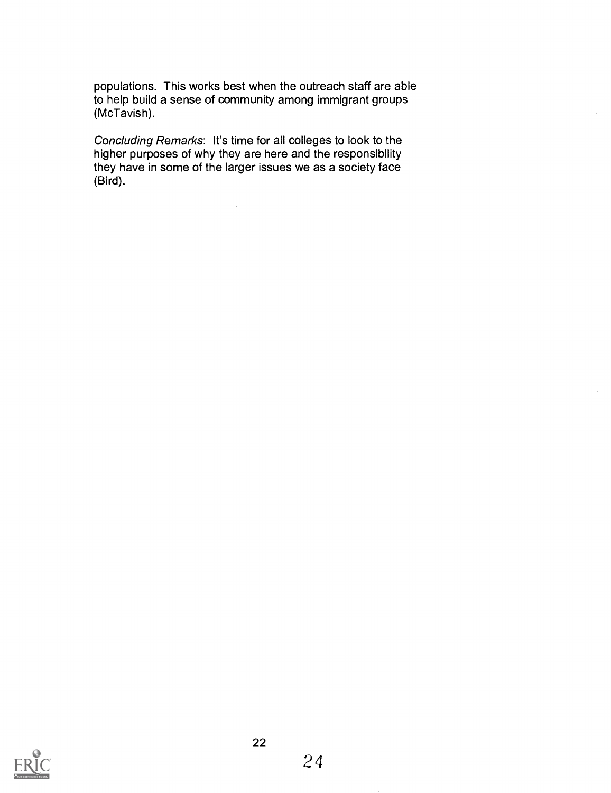populations. This works best when the outreach staff are able to help build a sense of community among immigrant groups (McTavish).

Concluding Remarks: It's time for all colleges to look to the higher purposes of why they are here and the responsibility they have in some of the larger issues we as a society face (Bird).

 $\mathcal{A}^{\mathcal{A}}$ 

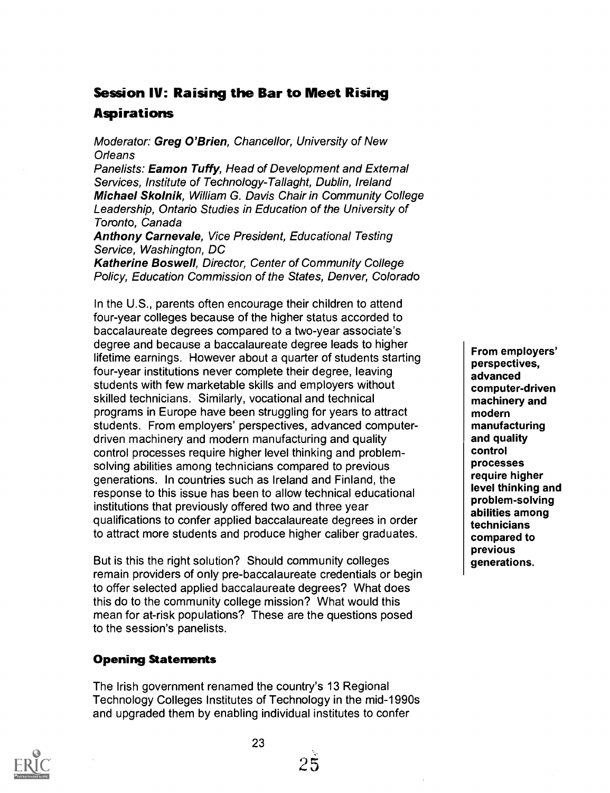# Session IV: Raising the Bar to Meet Rising Aspirations

#### Moderator: Greg O'Brien, Chancellor, University of New **Orleans**

Panelists: **Eamon Tuffy**, Head of Development and External Services, Institute of Technology-Tallaght, Dublin, Ireland Michael Skolnik, William G. Davis Chair in Community College Leadership, Ontario Studies in Education of the University of Toronto, Canada

Anthony Carnevale, Vice President, Educational Testing Service, Washington, DC

Katherine Boswell, Director, Center of Community College Policy, Education Commission of the States, Denver, Colorado

In the U.S., parents often encourage their children to attend four-year colleges because of the higher status accorded to baccalaureate degrees compared to a two-year associate's degree and because a baccalaureate degree leads to higher lifetime earnings. However about a quarter of students starting four-year institutions never complete their degree, leaving students with few marketable skills and employers without skilled technicians. Similarly, vocational and technical programs in Europe have been struggling for years to attract students. From employers' perspectives, advanced computerdriven machinery and modern manufacturing and quality control processes require higher level thinking and problemsolving abilities among technicians compared to previous generations. In countries such as Ireland and Finland, the response to this issue has been to allow technical educational institutions that previously offered two and three year qualifications to confer applied baccalaureate degrees in order to attract more students and produce higher caliber graduates.

But is this the right solution? Should community colleges remain providers of only pre-baccalaureate credentials or begin to offer selected applied baccalaureate degrees? What does this do to the community college mission? What would this mean for at-risk populations? These are the questions posed to the session's panelists.

#### Opening Statements

The Irish government renamed the country's 13 Regional Technology Colleges Institutes of Technology in the mid-1990s and upgraded them by enabling individual institutes to confer

23

25

From employers' perspectives, advanced computer-driven machinery and modern manufacturing and quality control processes require higher level thinking and problem-solving abilities among technicians compared to previous generations.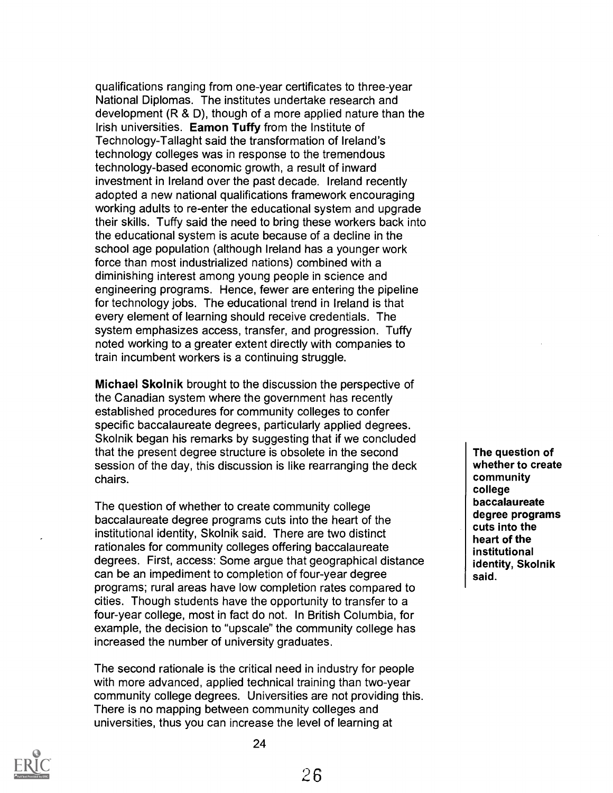qualifications ranging from one-year certificates to three-year National Diplomas. The institutes undertake research and development (R & D), though of a more applied nature than the Irish universities. Eamon Tuffy from the Institute of Technology-Tallaght said the transformation of Ireland's technology colleges was in response to the tremendous technology-based economic growth, a result of inward investment in Ireland over the past decade. Ireland recently adopted a new national qualifications framework encouraging working adults to re-enter the educational system and upgrade their skills. Tuffy said the need to bring these workers back into the educational system is acute because of a decline in the school age population (although Ireland has a younger work force than most industrialized nations) combined with a diminishing interest among young people in science and engineering programs. Hence, fewer are entering the pipeline for technology jobs. The educational trend in Ireland is that every element of learning should receive credentials. The system emphasizes access, transfer, and progression. Tuffy noted working to a greater extent directly with companies to train incumbent workers is a continuing struggle.

Michael Skolnik brought to the discussion the perspective of the Canadian system where the government has recently established procedures for community colleges to confer specific baccalaureate degrees, particularly applied degrees. Skolnik began his remarks by suggesting that if we concluded that the present degree structure is obsolete in the second session of the day, this discussion is like rearranging the deck chairs.

The question of whether to create community college baccalaureate degree programs cuts into the heart of the institutional identity, Skolnik said. There are two distinct rationales for community colleges offering baccalaureate degrees. First, access: Some argue that geographical distance can be an impediment to completion of four-year degree programs; rural areas have low completion rates compared to cities. Though students have the opportunity to transfer to a four-year college, most in fact do not. In British Columbia, for example, the decision to "upscale" the community college has increased the number of university graduates.

The second rationale is the critical need in industry for people with more advanced, applied technical training than two-year community college degrees. Universities are not providing this. There is no mapping between community colleges and universities, thus you can increase the level of learning at

The question of whether to create community college baccalaureate degree programs cuts into the heart of the institutional identity, Skolnik said.

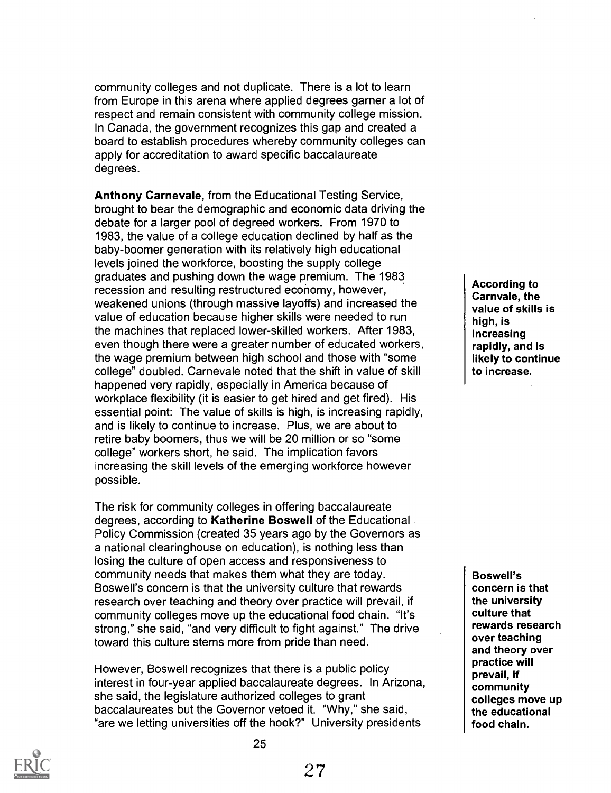community colleges and not duplicate. There is a lot to learn from Europe in this arena where applied degrees garner a lot of respect and remain consistent with community college mission. In Canada, the government recognizes this gap and created a board to establish procedures whereby community colleges can apply for accreditation to award specific baccalaureate degrees.

Anthony Carnevale, from the Educational Testing Service, brought to bear the demographic and economic data driving the debate for a larger pool of degreed workers. From 1970 to 1983, the value of a college education declined by half as the baby-boomer generation with its relatively high educational levels joined the workforce, boosting the supply college graduates and pushing down the wage premium. The 1983 recession and resulting restructured economy, however, weakened unions (through massive layoffs) and increased the value of education because higher skills were needed to run the machines that replaced lower-skilled workers. After 1983, even though there were a greater number of educated workers, the wage premium between high school and those with "some college" doubled. Carnevale noted that the shift in value of skill happened very rapidly, especially in America because of workplace flexibility (it is easier to get hired and get fired). His essential point: The value of skills is high, is increasing rapidly, and is likely to continue to increase. Plus, we are about to retire baby boomers, thus we will be 20 million or so "some college" workers short, he said. The implication favors increasing the skill levels of the emerging workforce however possible.

The risk for community colleges in offering baccalaureate degrees, according to Katherine Boswell of the Educational Policy Commission (created 35 years ago by the Governors as a national clearinghouse on education), is nothing less than losing the culture of open access and responsiveness to community needs that makes them what they are today. Boswell's concern is that the university culture that rewards research over teaching and theory over practice will prevail, if community colleges move up the educational food chain. "It's strong," she said, "and very difficult to fight against." The drive toward this culture stems more from pride than need.

However, Boswell recognizes that there is a public policy interest in four-year applied baccalaureate degrees. In Arizona, she said, the legislature authorized colleges to grant baccalaureates but the Governor vetoed it. "Why," she said, "are we letting universities off the hook?" University presidents

According to Carnvale, the value of skills is high, is increasing rapidly, and is likely to continue to increase.

Boswell's concern is that the university culture that rewards research over teaching and theory over practice will prevail, if community colleges move up the educational food chain.

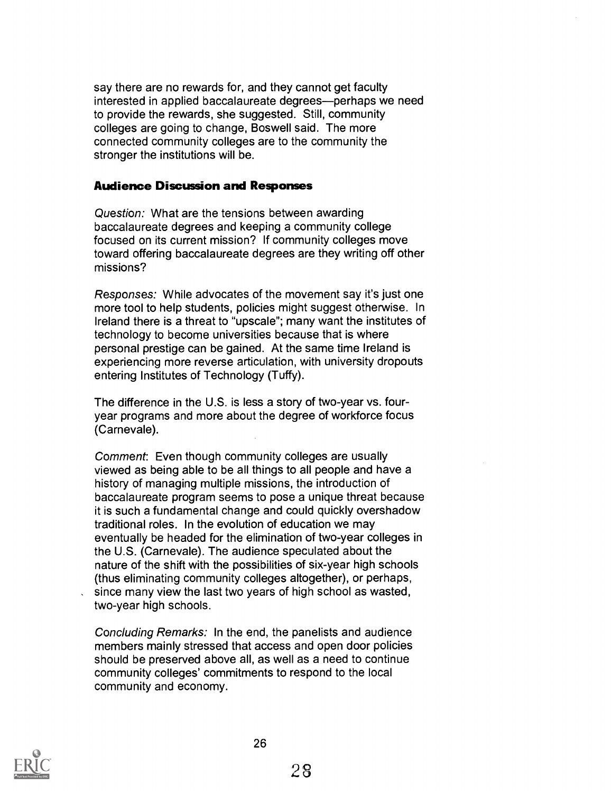say there are no rewards for, and they cannot get faculty interested in applied baccalaureate degrees—perhaps we need to provide the rewards, she suggested. Still, community colleges are going to change, Boswell said. The more connected community colleges are to the community the stronger the institutions will be.

#### Audience Discussion and Responses

Question: What are the tensions between awarding baccalaureate degrees and keeping a community college focused on its current mission? If community colleges move toward offering baccalaureate degrees are they writing off other missions?

Responses: While advocates of the movement say it's just one more tool to help students, policies might suggest otherwise. In Ireland there is a threat to "upscale"; many want the institutes of technology to become universities because that is where personal prestige can be gained. At the same time Ireland is experiencing more reverse articulation, with university dropouts entering Institutes of Technology (Tuffy).

The difference in the U.S. is less a story of two-year vs. fouryear programs and more about the degree of workforce focus (Carnevale).

Comment: Even though community colleges are usually viewed as being able to be all things to all people and have a history of managing multiple missions, the introduction of baccalaureate program seems to pose a unique threat because it is such a fundamental change and could quickly overshadow traditional roles. In the evolution of education we may eventually be headed for the elimination of two-year colleges in the U.S. (Carnevale). The audience speculated about the nature of the shift with the possibilities of six-year high schools (thus eliminating community colleges altogether), or perhaps, since many view the last two years of high school as wasted, two-year high schools.

Concluding Remarks: In the end, the panelists and audience members mainly stressed that access and open door policies should be preserved above all, as well as a need to continue community colleges' commitments to respond to the local community and economy.

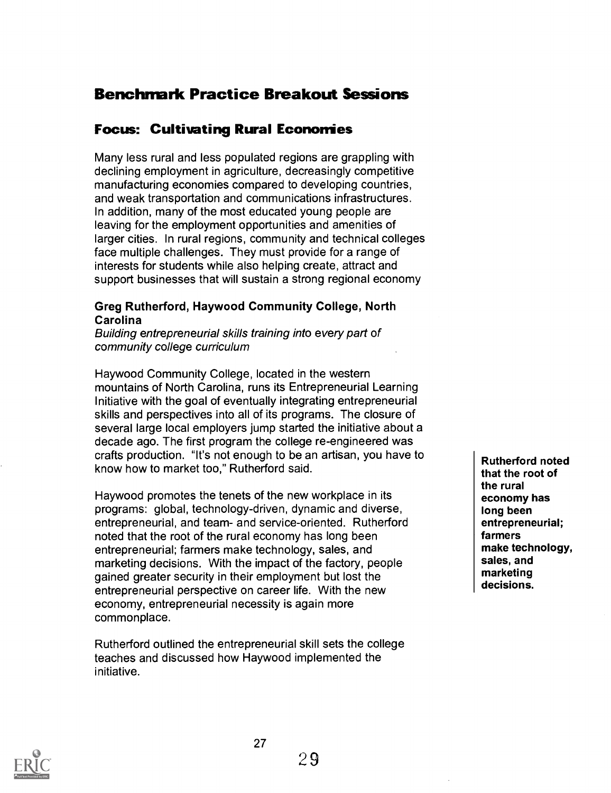# Benchmark Practice Breakout Sessions

## Focus: Cultivating Rural Economies

Many less rural and less populated regions are grappling with declining employment in agriculture, decreasingly competitive manufacturing economies compared to developing countries, and weak transportation and communications infrastructures. In addition, many of the most educated young people are leaving for the employment opportunities and amenities of larger cities. In rural regions, community and technical colleges face multiple challenges. They must provide for a range of interests for students while also helping create, attract and support businesses that will sustain a strong regional economy

#### Greg Rutherford, Haywood Community College, North Carolina

Building entrepreneurial skills training into every part of community college curriculum

Haywood Community College, located in the western mountains of North Carolina, runs its Entrepreneurial Learning Initiative with the goal of eventually integrating entrepreneurial skills and perspectives into all of its programs. The closure of several large local employers jump started the initiative about a decade ago. The first program the college re-engineered was crafts production. "It's not enough to be an artisan, you have to know how to market too," Rutherford said.

Haywood promotes the tenets of the new workplace in its programs: global, technology-driven, dynamic and diverse, entrepreneurial, and team- and service-oriented. Rutherford noted that the root of the rural economy has long been entrepreneurial; farmers make technology, sales, and marketing decisions. With the impact of the factory, people gained greater security in their employment but lost the entrepreneurial perspective on career life. With the new economy, entrepreneurial necessity is again more commonplace.

Rutherford outlined the entrepreneurial skill sets the college teaches and discussed how Haywood implemented the initiative.

Rutherford noted that the root of the rural economy has long been entrepreneurial; farmers make technology, sales, and marketing decisions.

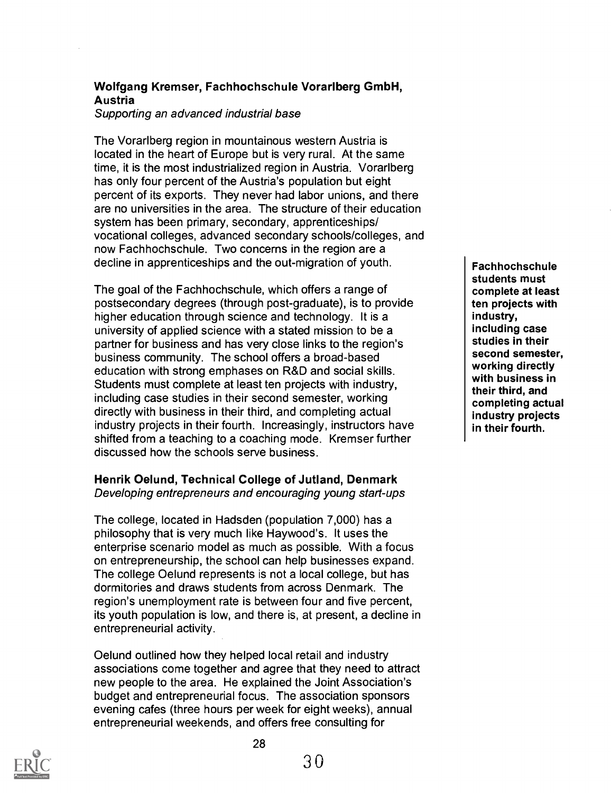## Wolfgang Kremser, Fachhochschule Vorarlberg GmbH, Austria

Supporting an advanced industrial base

The Vorarlberg region in mountainous western Austria is located in the heart of Europe but is very rural. At the same time, it is the most industrialized region in Austria. Vorarlberg has only four percent of the Austria's population but eight percent of its exports. They never had labor unions, and there are no universities in the area. The structure of their education system has been primary, secondary, apprenticeships/ vocational colleges, advanced secondary schools/colleges, and now Fachhochschule. Two concerns in the region are a decline in apprenticeships and the out-migration of youth.

The goal of the Fachhochschule, which offers a range of postsecondary degrees (through post-graduate), is to provide higher education through science and technology. It is a university of applied science with a stated mission to be a partner for business and has very close links to the region's business community. The school offers a broad-based education with strong emphases on R&D and social skills. Students must complete at least ten projects with industry, including case studies in their second semester, working directly with business in their third, and completing actual industry projects in their fourth. Increasingly, instructors have shifted from a teaching to a coaching mode. Kremser further discussed how the schools serve business.

#### Henrik Oelund, Technical College of Jutland, Denmark Developing entrepreneurs and encouraging young start-ups

The college, located in Hadsden (population 7,000) has a philosophy that is very much like Haywood's. It uses the enterprise scenario model as much as possible. With a focus on entrepreneurship, the school can help businesses expand. The college Oelund represents is not a local college, but has dormitories and draws students from across Denmark. The region's unemployment rate is between four and five percent, its youth population is low, and there is, at present, a decline in entrepreneurial activity.

Oelund outlined how they helped local retail and industry associations come together and agree that they need to attract new people to the area. He explained the Joint Association's budget and entrepreneurial focus. The association sponsors evening cafes (three hours per week for eight weeks), annual entrepreneurial weekends, and offers free consulting for

Fachhochschule students must complete at least ten projects with industry, including case studies in their second semester, working directly with business in their third, and completing actual industry projects in their fourth.



28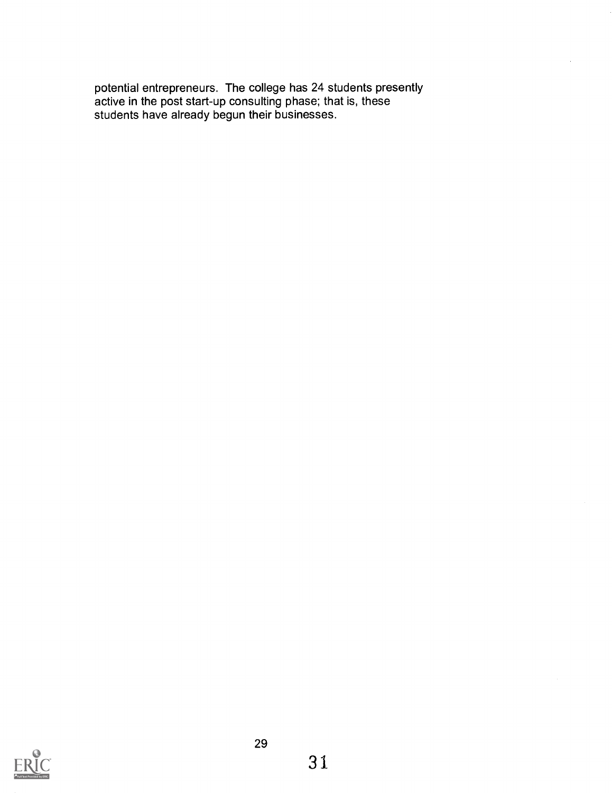potential entrepreneurs. The college has 24 students presently active in the post start-up consulting phase; that is, these students have already begun their businesses.

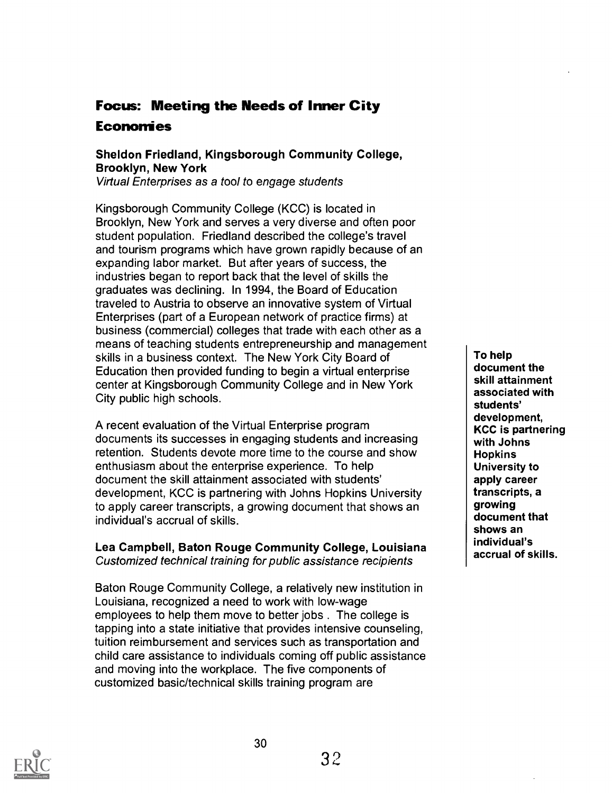# Focus: Meeting the Needs of Inner City **Economies**

## Sheldon Friedland, Kingsborough Community College, Brooklyn, New York

Virtual Enterprises as a tool to engage students

Kingsborough Community College (KCC) is located in Brooklyn, New York and serves a very diverse and often poor student population. Friedland described the college's travel and tourism programs which have grown rapidly because of an expanding labor market. But after years of success, the industries began to report back that the level of skills the graduates was declining. In 1994, the Board of Education traveled to Austria to observe an innovative system of Virtual Enterprises (part of a European network of practice firms) at business (commercial) colleges that trade with each other as a means of teaching students entrepreneurship and management skills in a business context. The New York City Board of Education then provided funding to begin a virtual enterprise center at Kingsborough Community College and in New York City public high schools.

A recent evaluation of the Virtual Enterprise program documents its successes in engaging students and increasing retention. Students devote more time to the course and show enthusiasm about the enterprise experience. To help document the skill attainment associated with students' development, KCC is partnering with Johns Hopkins University to apply career transcripts, a growing document that shows an individual's accrual of skills.

Lea Campbell, Baton Rouge Community College, Louisiana Customized technical training for public assistance recipients

Baton Rouge Community College, a relatively new institution in Louisiana, recognized a need to work with low-wage employees to help them move to better jobs . The college is tapping into a state initiative that provides intensive counseling, tuition reimbursement and services such as transportation and child care assistance to individuals coming off public assistance and moving into the workplace. The five components of customized basic/technical skills training program are

To help document the skill attainment associated with students' development, KCC is partnering with Johns **Hopkins** University to apply career transcripts, a growing document that shows an individual's accrual of skills.

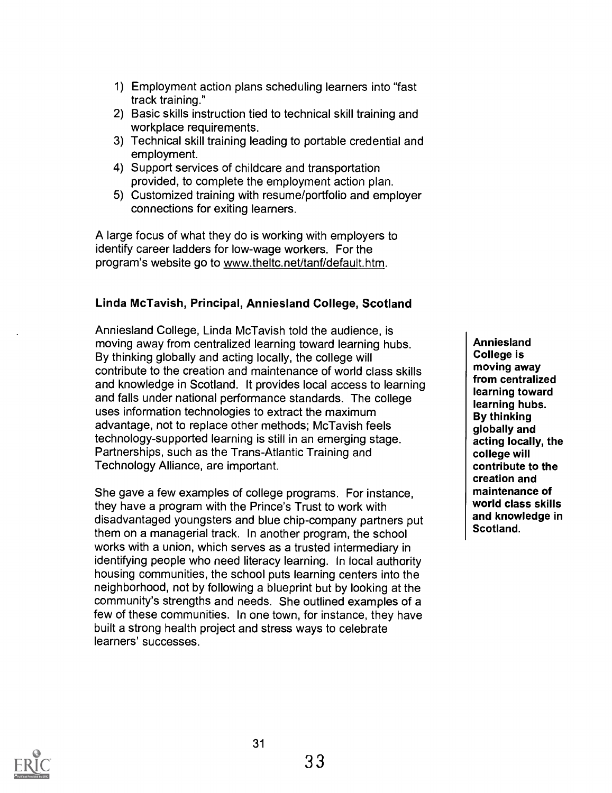- 1) Employment action plans scheduling learners into "fast track training."
- 2) Basic skills instruction tied to technical skill training and workplace requirements.
- 3) Technical skill training leading to portable credential and employment.
- 4) Support services of childcare and transportation provided, to complete the employment action plan.
- 5) Customized training with resume/portfolio and employer connections for exiting learners.

A large focus of what they do is working with employers to identify career ladders for low-wage workers. For the program's website go to www.theltc.net/tanf/default.htm.

## Linda McTavish, Principal, Anniesland College, Scotland

Anniesland College, Linda McTavish told the audience, is moving away from centralized learning toward learning hubs. By thinking globally and acting locally, the college will contribute to the creation and maintenance of world class skills and knowledge in Scotland. It provides local access to learning and falls under national performance standards. The college uses information technologies to extract the maximum advantage, not to replace other methods; McTavish feels technology-supported learning is still in an emerging stage. Partnerships, such as the Trans-Atlantic Training and Technology Alliance, are important.

She gave a few examples of college programs. For instance, they have a program with the Prince's Trust to work with disadvantaged youngsters and blue chip-company partners put them on a managerial track. In another program, the school works with a union, which serves as a trusted intermediary in identifying people who need literacy learning. In local authority housing communities, the school puts learning centers into the neighborhood, not by following a blueprint but by looking at the community's strengths and needs. She outlined examples of a few of these communities. In one town, for instance, they have built a strong health project and stress ways to celebrate learners' successes.

Anniesland College is moving away from centralized learning toward learning hubs. By thinking globally and acting locally, the college will contribute to the creation and maintenance of world class skills and knowledge in Scotland.



31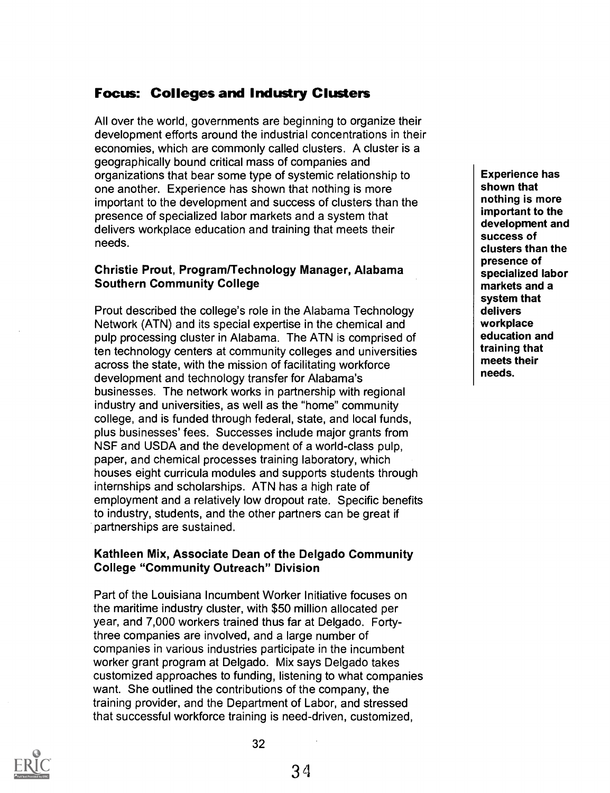## Focus: Colleges and Industry Clusters

All over the world, governments are beginning to organize their development efforts around the industrial concentrations in their economies, which are commonly called clusters. A cluster is a geographically bound critical mass of companies and organizations that bear some type of systemic relationship to one another. Experience has shown that nothing is more important to the development and success of clusters than the presence of specialized labor markets and a system that delivers workplace education and training that meets their needs.

#### Christie Prout, Program/Technology Manager, Alabama Southern Community College

Prout described the college's role in the Alabama Technology Network (ATN) and its special expertise in the chemical and pulp processing cluster in Alabama. The ATN is comprised of ten technology centers at community colleges and universities across the state, with the mission of facilitating workforce development and technology transfer for Alabama's businesses. The network works in partnership with regional industry and universities, as well as the "home" community college, and is funded through federal, state, and local funds, plus businesses' fees. Successes include major grants from NSF and USDA and the development of a world-class pulp, paper, and chemical processes training laboratory, which houses eight curricula modules and supports students through internships and scholarships. ATN has a high rate of employment and a relatively low dropout rate. Specific benefits to industry, students, and the other partners can be great if partnerships are sustained.

#### Kathleen Mix, Associate Dean of the Delgado Community College "Community Outreach" Division

Part of the Louisiana Incumbent Worker Initiative focuses on the maritime industry cluster, with \$50 million allocated per year, and 7,000 workers trained thus far at Delgado. Fortythree companies are involved, and a large number of companies in various industries participate in the incumbent worker grant program at Delgado. Mix says Delgado takes customized approaches to funding, listening to what companies want. She outlined the contributions of the company, the training provider, and the Department of Labor, and stressed that successful workforce training is need-driven, customized,

Experience has shown that nothing is more important to the development and success of clusters than the presence of specialized labor markets and a system that delivers workplace education and training that meets their needs.

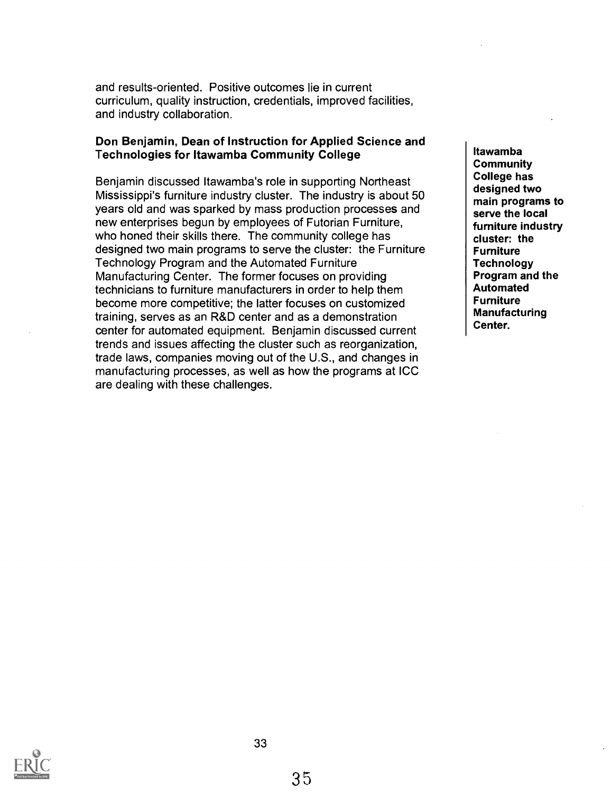and results-oriented. Positive outcomes lie in current curriculum, quality instruction, credentials, improved facilities, and industry collaboration.

#### Don Benjamin, Dean of Instruction for Applied Science and Technologies for Itawamba Community College

Benjamin discussed Itawamba's role in supporting Northeast Mississippi's furniture industry cluster. The industry is about 50 years old and was sparked by mass production processes and new enterprises begun by employees of Futorian Furniture, who honed their skills there. The community college has designed two main programs to serve the cluster: the Furniture Technology Program and the Automated Furniture Manufacturing Center. The former focuses on providing technicians to furniture manufacturers in order to help them become more competitive; the latter focuses on customized training, serves as an R&D center and as a demonstration center for automated equipment. Benjamin discussed current trends and issues affecting the cluster such as reorganization, trade laws, companies moving out of the U.S., and changes in manufacturing processes, as well as how the programs at ICC are dealing with these challenges.

Itawamba Community College has designed two main programs to serve the local furniture industry cluster: the Furniture **Technology** Program and the Automated Furniture Manufacturing Center.

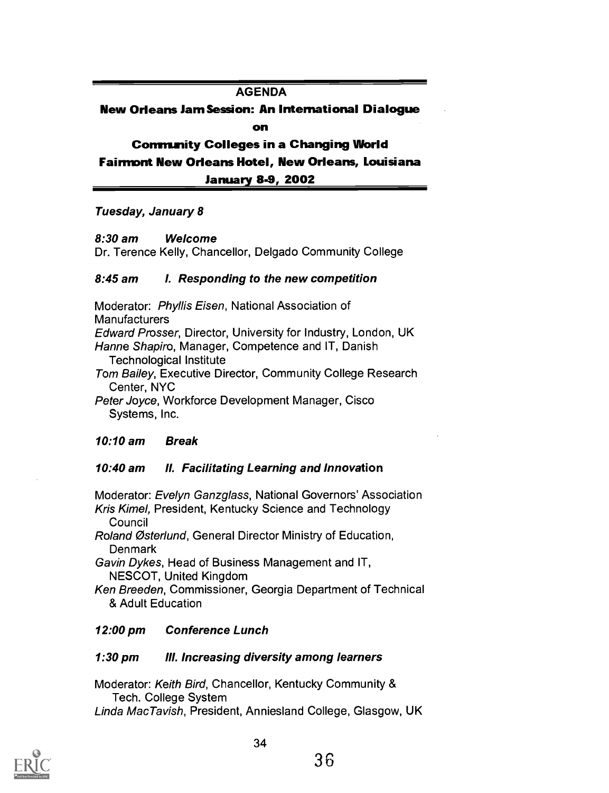#### AGENDA

New Orleans Jam Session: An International Dialogue on

Community Colleges in a Changing World Fairmont New Orleans Hotel, New Orleans, Louisiana January 8-9, 2002

Tuesday, January 8

#### 8:30 am Welcome

Dr. Terence Kelly, Chancellor, Delgado Community College

#### 8:45 am I. Responding to the new competition

Moderator: Phyllis Eisen, National Association of **Manufacturers** Edward Prosser, Director, University for Industry, London, UK Hanne Shapiro, Manager, Competence and IT, Danish Technological Institute Tom Bailey, Executive Director, Community College Research Center, NYC

Peter Joyce, Workforce Development Manager, Cisco Systems, Inc.

#### 10:10 am Break

#### 10:40 am II. Facilitating Learning and Innovation

Moderator: Evelyn Ganzglass, National Governors' Association Kris Kimel, President, Kentucky Science and Technology

**Council** 

Roland Osterlund, General Director Ministry of Education, **Denmark** 

Gavin Dykes, Head of Business Management and IT, NESCOT, United Kingdom

Ken Breeden, Commissioner, Georgia Department of Technical & Adult Education

#### 12:00 pm Conference Lunch

#### 1:30 pm III. Increasing diversity among learners

Moderator: Keith Bird, Chancellor, Kentucky Community & Tech. College System Linda MacTavish, President, Anniesland College, Glasgow, UK

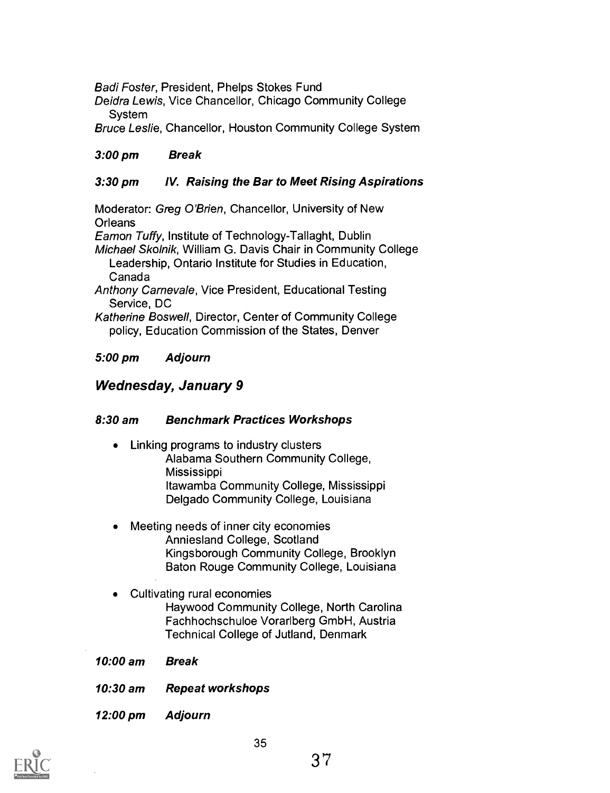Badi Foster, President, Phelps Stokes Fund

Deidra Lewis, Vice Chancellor, Chicago Community College System

Bruce Leslie, Chancellor, Houston Community College System

## 3:00 pm Break

## 3:30 pm IV. Raising the Bar to Meet Rising Aspirations

Moderator: Greg O'Brien, Chancellor, University of New **Orleans** 

Eamon Tuffy, Institute of Technology-Tallaght, Dublin

Michael Skolnik, William G. Davis Chair in Community College Leadership, Ontario Institute for Studies in Education, Canada

Anthony Carnevale, Vice President, Educational Testing Service, DC

Katherine Boswell, Director, Center of Community College policy, Education Commission of the States, Denver

## 5:00 pm Adjourn

## Wednesday, January 9

#### 8:30 am Benchmark Practices Workshops

- Linking programs to industry clusters Alabama Southern Community College, Mississippi Itawamba Community College, Mississippi Delgado Community College, Louisiana
- Meeting needs of inner city economies Anniesland College, Scotland Kingsborough Community College, Brooklyn Baton Rouge Community College, Louisiana
- Cultivating rural economies Haywood Community College, North Carolina Fachhochschuloe Vorarlberg GmbH, Austria Technical College of Jutland, Denmark
- 10:00 am Break
- 10:30 am Repeat workshops
- 12:00 pm Adjourn